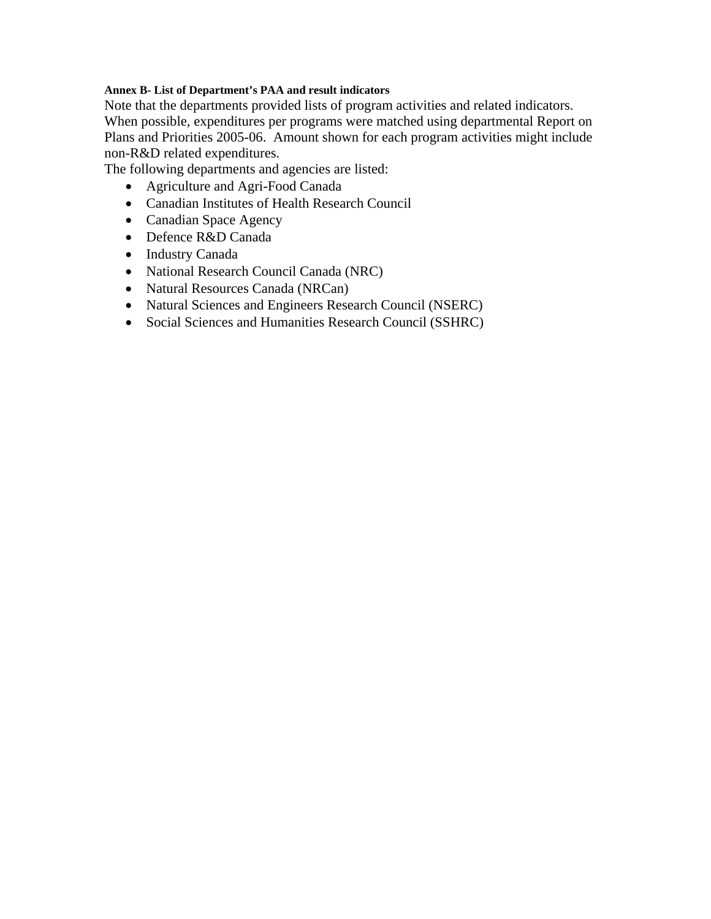#### **Annex B- List of Department's PAA and result indicators**

Note that the departments provided lists of program activities and related indicators. When possible, expenditures per programs were matched using departmental Report on Plans and Priorities 2005-06. Amount shown for each program activities might include non-R&D related expenditures.

The following departments and agencies are listed:

- Agriculture and Agri-Food Canada
- Canadian Institutes of Health Research Council
- Canadian Space Agency
- Defence R&D Canada
- Industry Canada
- National Research Council Canada (NRC)
- Natural Resources Canada (NRCan)
- Natural Sciences and Engineers Research Council (NSERC)
- Social Sciences and Humanities Research Council (SSHRC)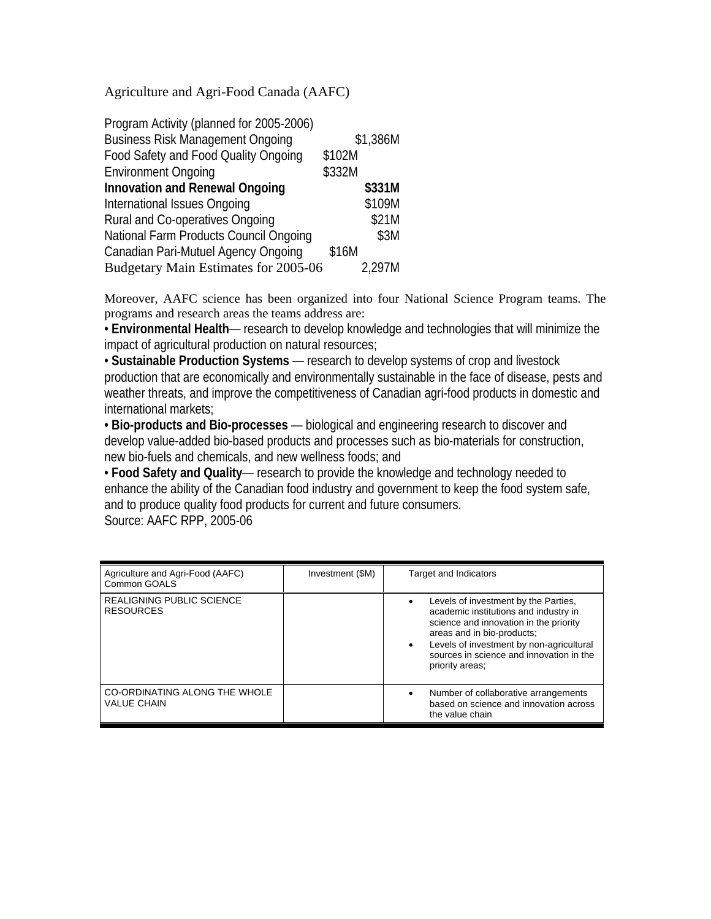Agriculture and Agri-Food Canada (AAFC)

| Program Activity (planned for 2005-2006) |          |
|------------------------------------------|----------|
| <b>Business Risk Management Ongoing</b>  | \$1,386M |
| Food Safety and Food Quality Ongoing     | \$102M   |
| <b>Environment Ongoing</b>               | \$332M   |
| <b>Innovation and Renewal Ongoing</b>    | \$331M   |
| International Issues Ongoing             | \$109M   |
| Rural and Co-operatives Ongoing          | \$21M    |
| National Farm Products Council Ongoing   | \$3M     |
| Canadian Pari-Mutuel Agency Ongoing      | \$16M    |
| Budgetary Main Estimates for 2005-06     | 2.297M   |

Moreover, AAFC science has been organized into four National Science Program teams. The programs and research areas the teams address are:

• **Environmental Health**— research to develop knowledge and technologies that will minimize the impact of agricultural production on natural resources;

• **Sustainable Production Systems** — research to develop systems of crop and livestock production that are economically and environmentally sustainable in the face of disease, pests and weather threats, and improve the competitiveness of Canadian agri-food products in domestic and international markets;

**• Bio-products and Bio-processes** — biological and engineering research to discover and develop value-added bio-based products and processes such as bio-materials for construction, new bio-fuels and chemicals, and new wellness foods; and

• **Food Safety and Quality**— research to provide the knowledge and technology needed to enhance the ability of the Canadian food industry and government to keep the food system safe, and to produce quality food products for current and future consumers.

| Source: AAFC RPP, 2005-06 |  |
|---------------------------|--|
|---------------------------|--|

| Agriculture and Agri-Food (AAFC)<br>Common GOALS     | Investment (\$M) | <b>Target and Indicators</b>                                                                                                                                                                                                                                     |
|------------------------------------------------------|------------------|------------------------------------------------------------------------------------------------------------------------------------------------------------------------------------------------------------------------------------------------------------------|
| <b>REALIGNING PUBLIC SCIENCE</b><br><b>RESOURCES</b> |                  | Levels of investment by the Parties,<br>academic institutions and industry in<br>science and innovation in the priority<br>areas and in bio-products;<br>Levels of investment by non-agricultural<br>sources in science and innovation in the<br>priority areas; |
| CO-ORDINATING ALONG THE WHOLE<br><b>VALUE CHAIN</b>  |                  | Number of collaborative arrangements<br>based on science and innovation across<br>the value chain                                                                                                                                                                |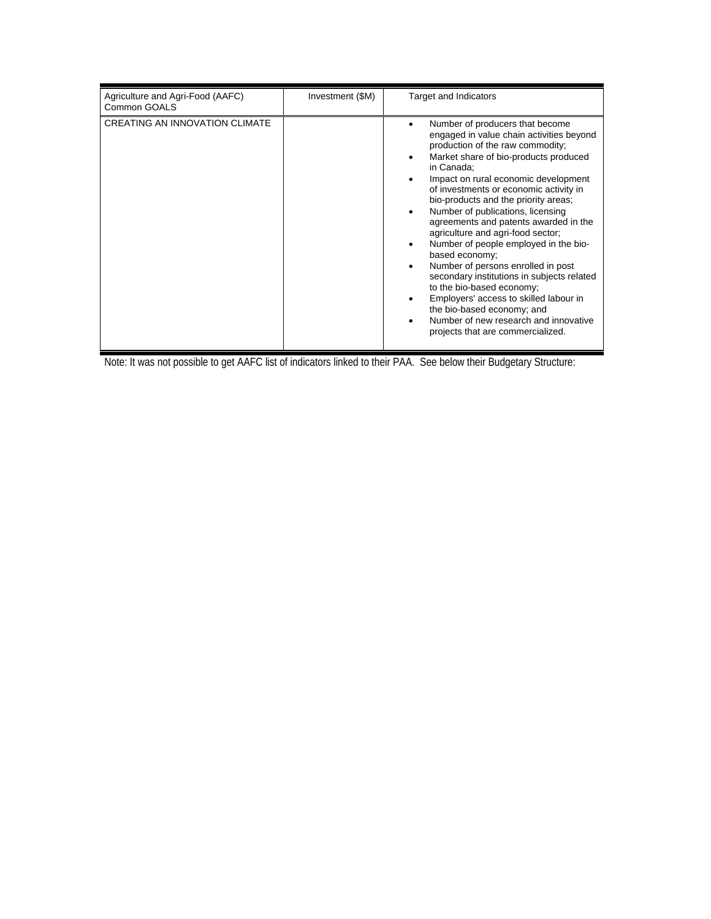| Agriculture and Agri-Food (AAFC)<br>Common GOALS | Investment (\$M) | <b>Target and Indicators</b>                                                                                                                                                                                                                                                                                                                                                                                                                                                                                                                                                                                                                                                                                                                          |
|--------------------------------------------------|------------------|-------------------------------------------------------------------------------------------------------------------------------------------------------------------------------------------------------------------------------------------------------------------------------------------------------------------------------------------------------------------------------------------------------------------------------------------------------------------------------------------------------------------------------------------------------------------------------------------------------------------------------------------------------------------------------------------------------------------------------------------------------|
| <b>CREATING AN INNOVATION CLIMATE</b>            |                  | Number of producers that become<br>engaged in value chain activities beyond<br>production of the raw commodity;<br>Market share of bio-products produced<br>in Canada;<br>Impact on rural economic development<br>of investments or economic activity in<br>bio-products and the priority areas;<br>Number of publications, licensing<br>agreements and patents awarded in the<br>agriculture and agri-food sector;<br>Number of people employed in the bio-<br>based economy;<br>Number of persons enrolled in post<br>secondary institutions in subjects related<br>to the bio-based economy;<br>Employers' access to skilled labour in<br>the bio-based economy; and<br>Number of new research and innovative<br>projects that are commercialized. |

Note: It was not possible to get AAFC list of indicators linked to their PAA. See below their Budgetary Structure: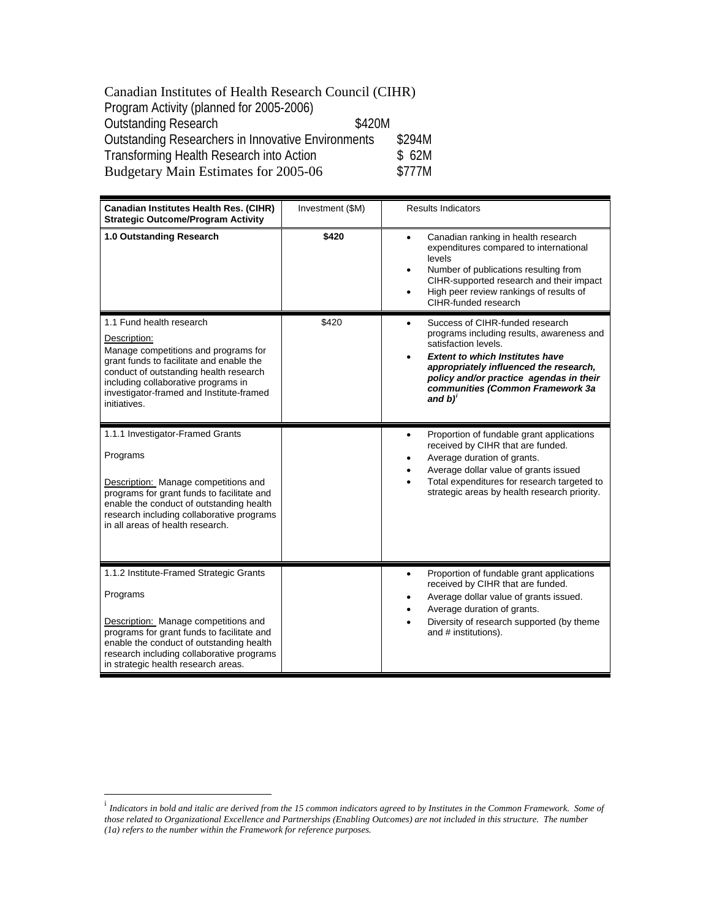#### <span id="page-3-0"></span>Canadian Institutes of Health Research Council (CIHR) Program Activity (planned for 2005-2006) Outstanding Research \$420M Outstanding Researchers in Innovative Environments \$294M<br>Transforming Health Research into Action \$62M Transforming Health Research into Action \$ 62M<br>Budgetary Main Estimates for 2005-06 \$777M Budgetary Main Estimates for 2005-06

| <b>Canadian Institutes Health Res. (CIHR)</b><br><b>Strategic Outcome/Program Activity</b>                                                                                                                                                                                | Investment (\$M) | <b>Results Indicators</b>                                                                                                                                                                                                                                                                         |
|---------------------------------------------------------------------------------------------------------------------------------------------------------------------------------------------------------------------------------------------------------------------------|------------------|---------------------------------------------------------------------------------------------------------------------------------------------------------------------------------------------------------------------------------------------------------------------------------------------------|
| 1.0 Outstanding Research                                                                                                                                                                                                                                                  | \$420            | Canadian ranking in health research<br>$\bullet$<br>expenditures compared to international<br>levels<br>Number of publications resulting from<br>٠<br>CIHR-supported research and their impact<br>High peer review rankings of results of<br>$\bullet$<br>CIHR-funded research                    |
| 1.1 Fund health research<br>Description:<br>Manage competitions and programs for<br>grant funds to facilitate and enable the<br>conduct of outstanding health research<br>including collaborative programs in<br>investigator-framed and Institute-framed<br>initiatives. | \$420            | Success of CIHR-funded research<br>$\bullet$<br>programs including results, awareness and<br>satisfaction levels.<br><b>Extent to which Institutes have</b><br>appropriately influenced the research,<br>policy and/or practice agendas in their<br>communities (Common Framework 3a<br>and $b)'$ |
| 1.1.1 Investigator-Framed Grants<br>Programs<br>Description: Manage competitions and<br>programs for grant funds to facilitate and<br>enable the conduct of outstanding health<br>research including collaborative programs<br>in all areas of health research.           |                  | Proportion of fundable grant applications<br>٠<br>received by CIHR that are funded.<br>Average duration of grants.<br>Average dollar value of grants issued<br>Total expenditures for research targeted to<br>strategic areas by health research priority.                                        |
| 1.1.2 Institute-Framed Strategic Grants<br>Programs<br>Description: Manage competitions and<br>programs for grant funds to facilitate and<br>enable the conduct of outstanding health<br>research including collaborative programs<br>in strategic health research areas. |                  | Proportion of fundable grant applications<br>$\bullet$<br>received by CIHR that are funded.<br>Average dollar value of grants issued.<br>Average duration of grants.<br>Diversity of research supported (by theme<br>and # institutions).                                                         |

 $\overline{a}$ 

<sup>&</sup>lt;sup>i</sup> Indicators in bold and italic are derived from the 15 common indicators agreed to by Institutes in the Common Framework. Some of *those related to Organizational Excellence and Partnerships (Enabling Outcomes) are not included in this structure. The number (1a) refers to the number within the Framework for reference purposes.*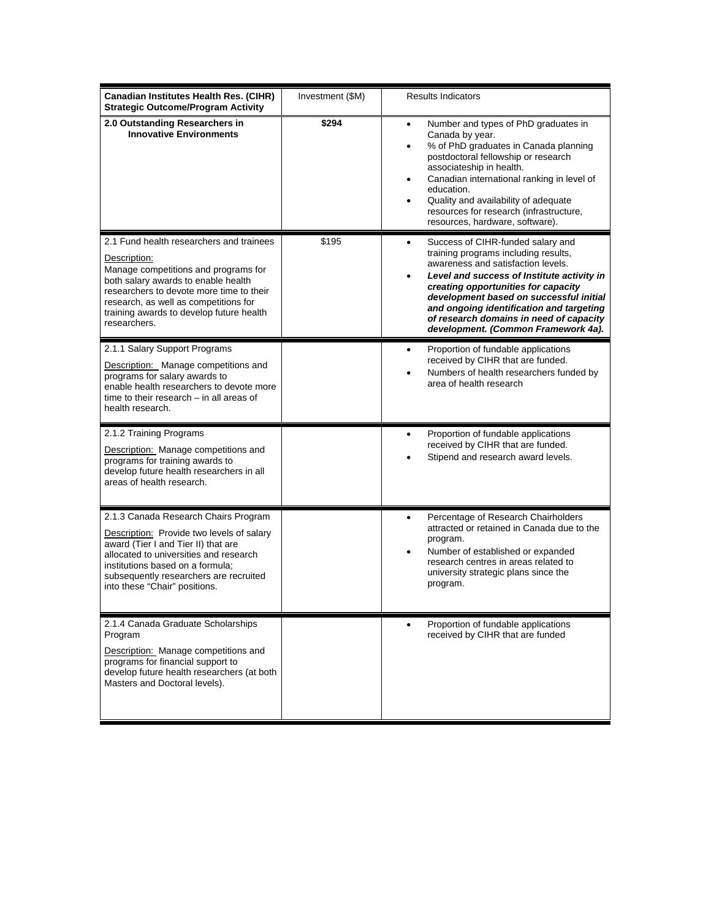| <b>Canadian Institutes Health Res. (CIHR)</b><br><b>Strategic Outcome/Program Activity</b>                                                                                                                                                                                               | Investment (\$M) | <b>Results Indicators</b>                                                                                                                                                                                                                                                                                                                                                               |
|------------------------------------------------------------------------------------------------------------------------------------------------------------------------------------------------------------------------------------------------------------------------------------------|------------------|-----------------------------------------------------------------------------------------------------------------------------------------------------------------------------------------------------------------------------------------------------------------------------------------------------------------------------------------------------------------------------------------|
| 2.0 Outstanding Researchers in<br><b>Innovative Environments</b>                                                                                                                                                                                                                         | \$294            | Number and types of PhD graduates in<br>٠<br>Canada by year.<br>% of PhD graduates in Canada planning<br>٠<br>postdoctoral fellowship or research<br>associateship in health.<br>Canadian international ranking in level of<br>$\bullet$<br>education.<br>Quality and availability of adequate<br>resources for research (infrastructure,<br>resources, hardware, software).            |
| 2.1 Fund health researchers and trainees<br>Description:<br>Manage competitions and programs for<br>both salary awards to enable health<br>researchers to devote more time to their<br>research, as well as competitions for<br>training awards to develop future health<br>researchers. | \$195            | Success of CIHR-funded salary and<br>٠<br>training programs including results,<br>awareness and satisfaction levels.<br>Level and success of Institute activity in<br>٠<br>creating opportunities for capacity<br>development based on successful initial<br>and ongoing identification and targeting<br>of research domains in need of capacity<br>development. (Common Framework 4a). |
| 2.1.1 Salary Support Programs<br>Description: Manage competitions and<br>programs for salary awards to<br>enable health researchers to devote more<br>time to their research - in all areas of<br>health research.                                                                       |                  | Proportion of fundable applications<br>$\bullet$<br>received by CIHR that are funded.<br>Numbers of health researchers funded by<br>area of health research                                                                                                                                                                                                                             |
| 2.1.2 Training Programs<br>Description: Manage competitions and<br>programs for training awards to<br>develop future health researchers in all<br>areas of health research.                                                                                                              |                  | Proportion of fundable applications<br>٠<br>received by CIHR that are funded.<br>Stipend and research award levels.                                                                                                                                                                                                                                                                     |
| 2.1.3 Canada Research Chairs Program<br>Description: Provide two levels of salary<br>award (Tier I and Tier II) that are<br>allocated to universities and research<br>institutions based on a formula;<br>subsequently researchers are recruited<br>into these "Chair" positions.        |                  | Percentage of Research Chairholders<br>$\bullet$<br>attracted or retained in Canada due to the<br>program.<br>Number of established or expanded<br>$\bullet$<br>research centres in areas related to<br>university strategic plans since the<br>program.                                                                                                                                |
| 2.1.4 Canada Graduate Scholarships<br>Program<br>Description: Manage competitions and<br>programs for financial support to<br>develop future health researchers (at both<br>Masters and Doctoral levels).                                                                                |                  | Proportion of fundable applications<br>received by CIHR that are funded                                                                                                                                                                                                                                                                                                                 |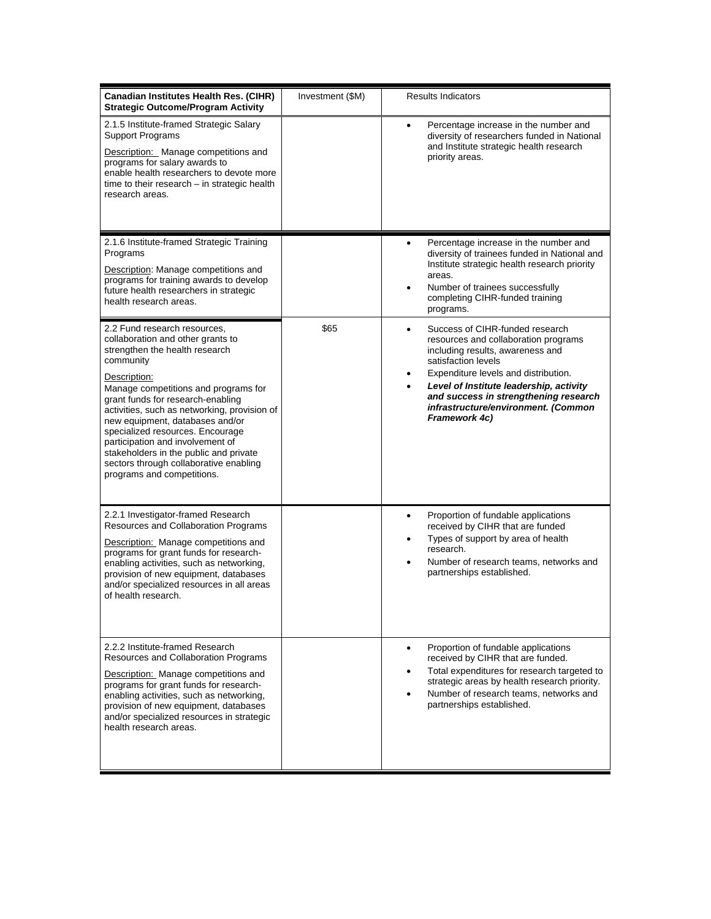| <b>Canadian Institutes Health Res. (CIHR)</b><br><b>Strategic Outcome/Program Activity</b>                                                                                                                                                                                                                                                                                                                                                                                                 | Investment (\$M) | Results Indicators                                                                                                                                                                                                                                                                                                                            |
|--------------------------------------------------------------------------------------------------------------------------------------------------------------------------------------------------------------------------------------------------------------------------------------------------------------------------------------------------------------------------------------------------------------------------------------------------------------------------------------------|------------------|-----------------------------------------------------------------------------------------------------------------------------------------------------------------------------------------------------------------------------------------------------------------------------------------------------------------------------------------------|
| 2.1.5 Institute-framed Strategic Salary<br><b>Support Programs</b><br>Description: Manage competitions and<br>programs for salary awards to<br>enable health researchers to devote more<br>time to their research - in strategic health<br>research areas.                                                                                                                                                                                                                                 |                  | Percentage increase in the number and<br>٠<br>diversity of researchers funded in National<br>and Institute strategic health research<br>priority areas.                                                                                                                                                                                       |
| 2.1.6 Institute-framed Strategic Training<br>Programs<br>Description: Manage competitions and<br>programs for training awards to develop<br>future health researchers in strategic<br>health research areas.                                                                                                                                                                                                                                                                               |                  | Percentage increase in the number and<br>٠<br>diversity of trainees funded in National and<br>Institute strategic health research priority<br>areas.<br>Number of trainees successfully<br>$\bullet$<br>completing CIHR-funded training<br>programs.                                                                                          |
| 2.2 Fund research resources.<br>collaboration and other grants to<br>strengthen the health research<br>community<br>Description:<br>Manage competitions and programs for<br>grant funds for research-enabling<br>activities, such as networking, provision of<br>new equipment, databases and/or<br>specialized resources. Encourage<br>participation and involvement of<br>stakeholders in the public and private<br>sectors through collaborative enabling<br>programs and competitions. | \$65             | Success of CIHR-funded research<br>٠<br>resources and collaboration programs<br>including results, awareness and<br>satisfaction levels<br>Expenditure levels and distribution.<br>٠<br>Level of Institute leadership, activity<br>$\bullet$<br>and success in strengthening research<br>infrastructure/environment. (Common<br>Framework 4c) |
| 2.2.1 Investigator-framed Research<br>Resources and Collaboration Programs<br>Description: Manage competitions and<br>programs for grant funds for research-<br>enabling activities, such as networking,<br>provision of new equipment, databases<br>and/or specialized resources in all areas<br>of health research.                                                                                                                                                                      |                  | Proportion of fundable applications<br>٠<br>received by CIHR that are funded<br>Types of support by area of health<br>٠<br>research.<br>Number of research teams, networks and<br>partnerships established.                                                                                                                                   |
| 2.2.2 Institute-framed Research<br>Resources and Collaboration Programs<br>Description: Manage competitions and<br>programs for grant funds for research-<br>enabling activities, such as networking,<br>provision of new equipment, databases<br>and/or specialized resources in strategic<br>health research areas.                                                                                                                                                                      |                  | Proportion of fundable applications<br>$\bullet$<br>received by CIHR that are funded.<br>Total expenditures for research targeted to<br>$\bullet$<br>strategic areas by health research priority.<br>Number of research teams, networks and<br>partnerships established.                                                                      |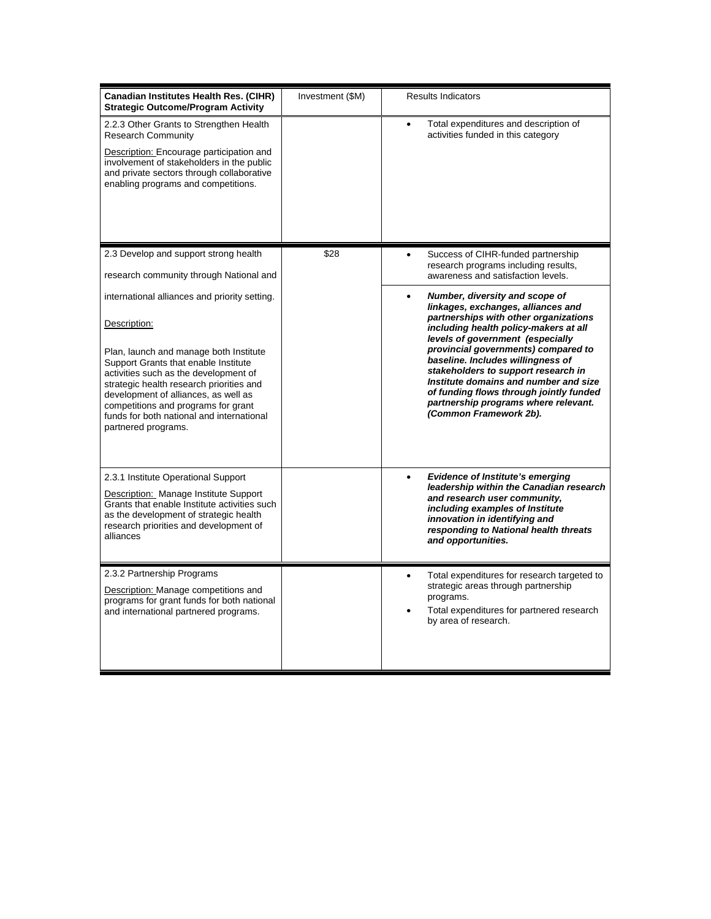| <b>Canadian Institutes Health Res. (CIHR)</b><br><b>Strategic Outcome/Program Activity</b>                                                                                                                                                                                                                                                                                                                                                                                     | Investment (\$M) | <b>Results Indicators</b>                                                                                                                                                                                                                                                                                                                                                                                                                                                                                                                                                                                           |
|--------------------------------------------------------------------------------------------------------------------------------------------------------------------------------------------------------------------------------------------------------------------------------------------------------------------------------------------------------------------------------------------------------------------------------------------------------------------------------|------------------|---------------------------------------------------------------------------------------------------------------------------------------------------------------------------------------------------------------------------------------------------------------------------------------------------------------------------------------------------------------------------------------------------------------------------------------------------------------------------------------------------------------------------------------------------------------------------------------------------------------------|
| 2.2.3 Other Grants to Strengthen Health<br><b>Research Community</b><br>Description: Encourage participation and<br>involvement of stakeholders in the public<br>and private sectors through collaborative<br>enabling programs and competitions.                                                                                                                                                                                                                              |                  | Total expenditures and description of<br>activities funded in this category                                                                                                                                                                                                                                                                                                                                                                                                                                                                                                                                         |
| 2.3 Develop and support strong health<br>research community through National and                                                                                                                                                                                                                                                                                                                                                                                               | \$28             | Success of CIHR-funded partnership<br>research programs including results,<br>awareness and satisfaction levels.                                                                                                                                                                                                                                                                                                                                                                                                                                                                                                    |
| international alliances and priority setting.<br>Description:<br>Plan, launch and manage both Institute<br>Support Grants that enable Institute<br>activities such as the development of<br>strategic health research priorities and<br>development of alliances, as well as<br>competitions and programs for grant<br>funds for both national and international<br>partnered programs.<br>2.3.1 Institute Operational Support<br><b>Description:</b> Manage Institute Support |                  | Number, diversity and scope of<br>$\bullet$<br>linkages, exchanges, alliances and<br>partnerships with other organizations<br>including health policy-makers at all<br>levels of government (especially<br>provincial governments) compared to<br>baseline. Includes willingness of<br>stakeholders to support research in<br>Institute domains and number and size<br>of funding flows through jointly funded<br>partnership programs where relevant.<br>(Common Framework 2b).<br><b>Evidence of Institute's emerging</b><br>$\bullet$<br>leadership within the Canadian research<br>and research user community, |
| Grants that enable Institute activities such<br>as the development of strategic health<br>research priorities and development of<br>alliances                                                                                                                                                                                                                                                                                                                                  |                  | including examples of Institute<br>innovation in identifying and<br>responding to National health threats<br>and opportunities.                                                                                                                                                                                                                                                                                                                                                                                                                                                                                     |
| 2.3.2 Partnership Programs<br>Description: Manage competitions and<br>programs for grant funds for both national<br>and international partnered programs.                                                                                                                                                                                                                                                                                                                      |                  | Total expenditures for research targeted to<br>$\bullet$<br>strategic areas through partnership<br>programs.<br>Total expenditures for partnered research<br>by area of research.                                                                                                                                                                                                                                                                                                                                                                                                                                   |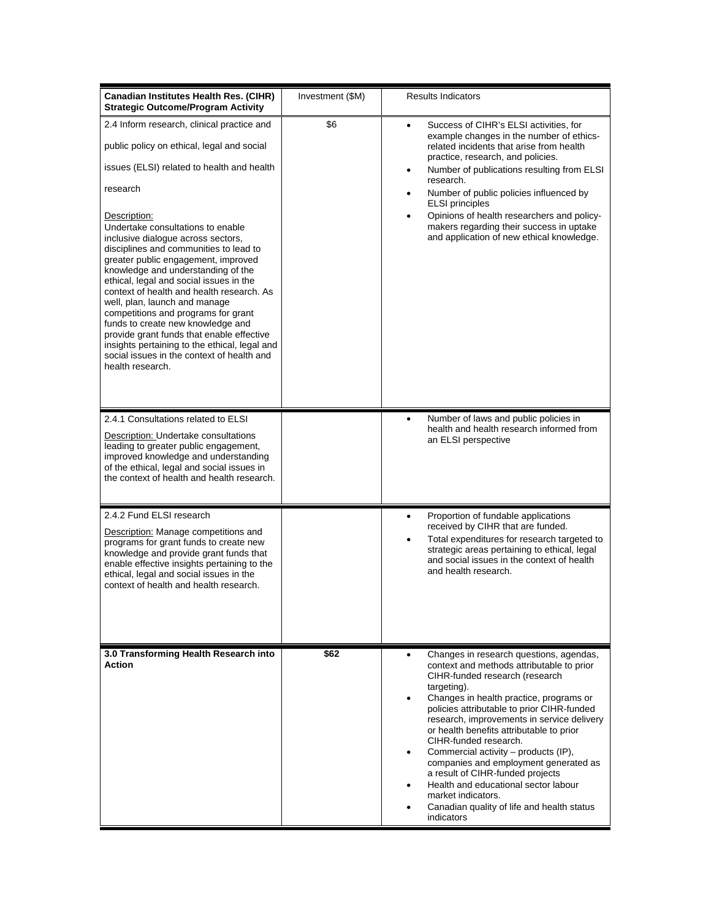| <b>Canadian Institutes Health Res. (CIHR)</b><br><b>Strategic Outcome/Program Activity</b>                                                                                                                                                                                                                                                                                                                                                                                                                                                                                                                                                                                                                                                | Investment (\$M) | <b>Results Indicators</b>                                                                                                                                                                                                                                                                                                                                                                                                                                                                                                                                                                                                    |
|-------------------------------------------------------------------------------------------------------------------------------------------------------------------------------------------------------------------------------------------------------------------------------------------------------------------------------------------------------------------------------------------------------------------------------------------------------------------------------------------------------------------------------------------------------------------------------------------------------------------------------------------------------------------------------------------------------------------------------------------|------------------|------------------------------------------------------------------------------------------------------------------------------------------------------------------------------------------------------------------------------------------------------------------------------------------------------------------------------------------------------------------------------------------------------------------------------------------------------------------------------------------------------------------------------------------------------------------------------------------------------------------------------|
| 2.4 Inform research, clinical practice and<br>public policy on ethical, legal and social<br>issues (ELSI) related to health and health<br>research<br>Description:<br>Undertake consultations to enable<br>inclusive dialogue across sectors,<br>disciplines and communities to lead to<br>greater public engagement, improved<br>knowledge and understanding of the<br>ethical, legal and social issues in the<br>context of health and health research. As<br>well, plan, launch and manage<br>competitions and programs for grant<br>funds to create new knowledge and<br>provide grant funds that enable effective<br>insights pertaining to the ethical, legal and<br>social issues in the context of health and<br>health research. | \$6              | Success of CIHR's ELSI activities, for<br>٠<br>example changes in the number of ethics-<br>related incidents that arise from health<br>practice, research, and policies.<br>Number of publications resulting from ELSI<br>٠<br>research.<br>Number of public policies influenced by<br>٠<br><b>ELSI</b> principles<br>Opinions of health researchers and policy-<br>$\bullet$<br>makers regarding their success in uptake<br>and application of new ethical knowledge.                                                                                                                                                       |
| 2.4.1 Consultations related to ELSI<br>Description: Undertake consultations<br>leading to greater public engagement,<br>improved knowledge and understanding<br>of the ethical, legal and social issues in<br>the context of health and health research.                                                                                                                                                                                                                                                                                                                                                                                                                                                                                  |                  | Number of laws and public policies in<br>$\bullet$<br>health and health research informed from<br>an ELSI perspective                                                                                                                                                                                                                                                                                                                                                                                                                                                                                                        |
| 2.4.2 Fund ELSI research<br>Description: Manage competitions and<br>programs for grant funds to create new<br>knowledge and provide grant funds that<br>enable effective insights pertaining to the<br>ethical, legal and social issues in the<br>context of health and health research.                                                                                                                                                                                                                                                                                                                                                                                                                                                  |                  | Proportion of fundable applications<br>٠<br>received by CIHR that are funded.<br>Total expenditures for research targeted to<br>٠<br>strategic areas pertaining to ethical, legal<br>and social issues in the context of health<br>and health research.                                                                                                                                                                                                                                                                                                                                                                      |
| 3.0 Transforming Health Research into<br><b>Action</b>                                                                                                                                                                                                                                                                                                                                                                                                                                                                                                                                                                                                                                                                                    | \$62             | Changes in research questions, agendas,<br>٠<br>context and methods attributable to prior<br>CIHR-funded research (research<br>targeting).<br>Changes in health practice, programs or<br>٠<br>policies attributable to prior CIHR-funded<br>research, improvements in service delivery<br>or health benefits attributable to prior<br>CIHR-funded research.<br>Commercial activity - products (IP),<br>$\bullet$<br>companies and employment generated as<br>a result of CIHR-funded projects<br>Health and educational sector labour<br>٠<br>market indicators.<br>Canadian quality of life and health status<br>indicators |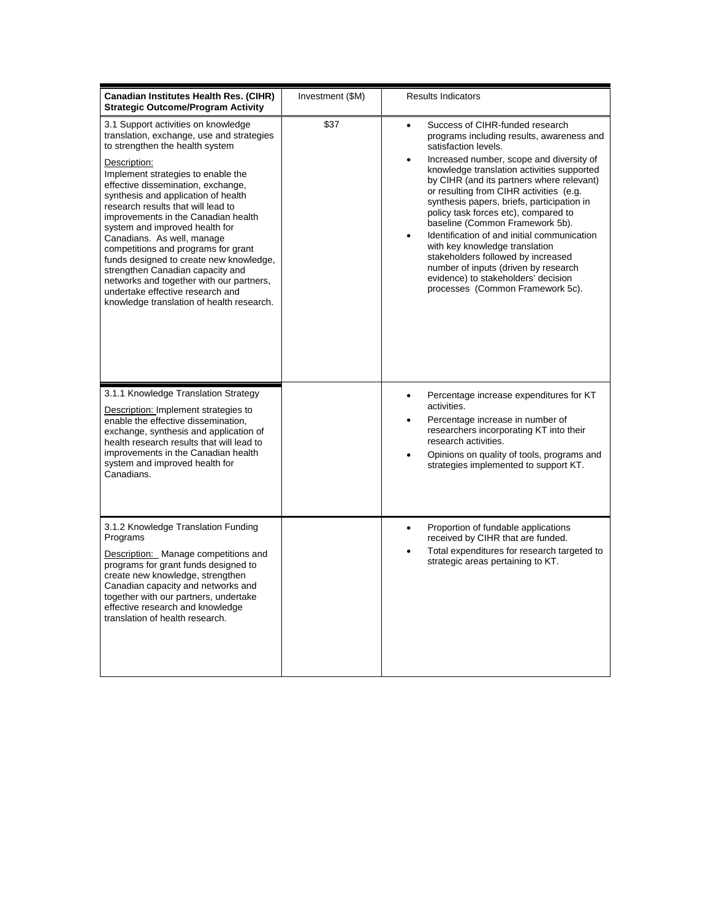| Canadian Institutes Health Res. (CIHR)<br><b>Strategic Outcome/Program Activity</b>                                                                                                                                                                                                                                                                                                                                                                                                                                                                                                                                                                    | Investment (\$M) | <b>Results Indicators</b>                                                                                                                                                                                                                                                                                                                                                                                                                                                                                                                                                                                                                                                                        |
|--------------------------------------------------------------------------------------------------------------------------------------------------------------------------------------------------------------------------------------------------------------------------------------------------------------------------------------------------------------------------------------------------------------------------------------------------------------------------------------------------------------------------------------------------------------------------------------------------------------------------------------------------------|------------------|--------------------------------------------------------------------------------------------------------------------------------------------------------------------------------------------------------------------------------------------------------------------------------------------------------------------------------------------------------------------------------------------------------------------------------------------------------------------------------------------------------------------------------------------------------------------------------------------------------------------------------------------------------------------------------------------------|
| 3.1 Support activities on knowledge<br>translation, exchange, use and strategies<br>to strengthen the health system<br>Description:<br>Implement strategies to enable the<br>effective dissemination, exchange,<br>synthesis and application of health<br>research results that will lead to<br>improvements in the Canadian health<br>system and improved health for<br>Canadians. As well, manage<br>competitions and programs for grant<br>funds designed to create new knowledge,<br>strengthen Canadian capacity and<br>networks and together with our partners,<br>undertake effective research and<br>knowledge translation of health research. | \$37             | Success of CIHR-funded research<br>$\bullet$<br>programs including results, awareness and<br>satisfaction levels.<br>Increased number, scope and diversity of<br>$\bullet$<br>knowledge translation activities supported<br>by CIHR (and its partners where relevant)<br>or resulting from CIHR activities (e.g.<br>synthesis papers, briefs, participation in<br>policy task forces etc), compared to<br>baseline (Common Framework 5b).<br>Identification of and initial communication<br>$\bullet$<br>with key knowledge translation<br>stakeholders followed by increased<br>number of inputs (driven by research<br>evidence) to stakeholders' decision<br>processes (Common Framework 5c). |
| 3.1.1 Knowledge Translation Strategy<br>Description: Implement strategies to<br>enable the effective dissemination,<br>exchange, synthesis and application of<br>health research results that will lead to<br>improvements in the Canadian health<br>system and improved health for<br>Canadians.                                                                                                                                                                                                                                                                                                                                                      |                  | Percentage increase expenditures for KT<br>$\bullet$<br>activities.<br>Percentage increase in number of<br>$\bullet$<br>researchers incorporating KT into their<br>research activities.<br>Opinions on quality of tools, programs and<br>strategies implemented to support KT.                                                                                                                                                                                                                                                                                                                                                                                                                   |
| 3.1.2 Knowledge Translation Funding<br>Programs<br>Description: Manage competitions and<br>programs for grant funds designed to<br>create new knowledge, strengthen<br>Canadian capacity and networks and<br>together with our partners, undertake<br>effective research and knowledge<br>translation of health research.                                                                                                                                                                                                                                                                                                                              |                  | Proportion of fundable applications<br>$\bullet$<br>received by CIHR that are funded.<br>Total expenditures for research targeted to<br>strategic areas pertaining to KT.                                                                                                                                                                                                                                                                                                                                                                                                                                                                                                                        |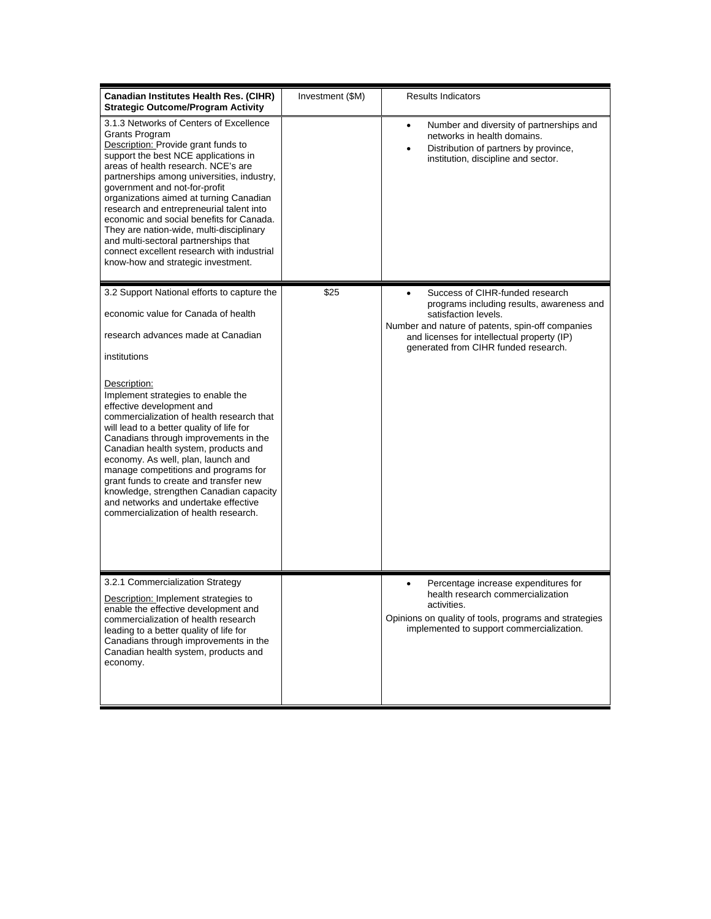| Canadian Institutes Health Res. (CIHR)<br><b>Strategic Outcome/Program Activity</b>                                                                                                                                                                                                                                                                                                                                                                                                                                                                                              | Investment (\$M) | <b>Results Indicators</b>                                                                                                                                                                                                                                    |
|----------------------------------------------------------------------------------------------------------------------------------------------------------------------------------------------------------------------------------------------------------------------------------------------------------------------------------------------------------------------------------------------------------------------------------------------------------------------------------------------------------------------------------------------------------------------------------|------------------|--------------------------------------------------------------------------------------------------------------------------------------------------------------------------------------------------------------------------------------------------------------|
| 3.1.3 Networks of Centers of Excellence<br><b>Grants Program</b><br>Description: Provide grant funds to<br>support the best NCE applications in<br>areas of health research. NCE's are<br>partnerships among universities, industry,<br>government and not-for-profit<br>organizations aimed at turning Canadian<br>research and entrepreneurial talent into<br>economic and social benefits for Canada.<br>They are nation-wide, multi-disciplinary<br>and multi-sectoral partnerships that<br>connect excellent research with industrial<br>know-how and strategic investment. |                  | Number and diversity of partnerships and<br>$\bullet$<br>networks in health domains.<br>Distribution of partners by province,<br>institution, discipline and sector.                                                                                         |
| 3.2 Support National efforts to capture the<br>economic value for Canada of health<br>research advances made at Canadian<br>institutions                                                                                                                                                                                                                                                                                                                                                                                                                                         | \$25             | Success of CIHR-funded research<br>$\bullet$<br>programs including results, awareness and<br>satisfaction levels.<br>Number and nature of patents, spin-off companies<br>and licenses for intellectual property (IP)<br>generated from CIHR funded research. |
| Description:<br>Implement strategies to enable the<br>effective development and<br>commercialization of health research that<br>will lead to a better quality of life for<br>Canadians through improvements in the<br>Canadian health system, products and<br>economy. As well, plan, launch and<br>manage competitions and programs for<br>grant funds to create and transfer new<br>knowledge, strengthen Canadian capacity<br>and networks and undertake effective<br>commercialization of health research.                                                                   |                  |                                                                                                                                                                                                                                                              |
| 3.2.1 Commercialization Strategy<br>Description: Implement strategies to<br>enable the effective development and<br>commercialization of health research<br>leading to a better quality of life for<br>Canadians through improvements in the<br>Canadian health system, products and<br>economy.                                                                                                                                                                                                                                                                                 |                  | Percentage increase expenditures for<br>$\bullet$<br>health research commercialization<br>activities.<br>Opinions on quality of tools, programs and strategies<br>implemented to support commercialization.                                                  |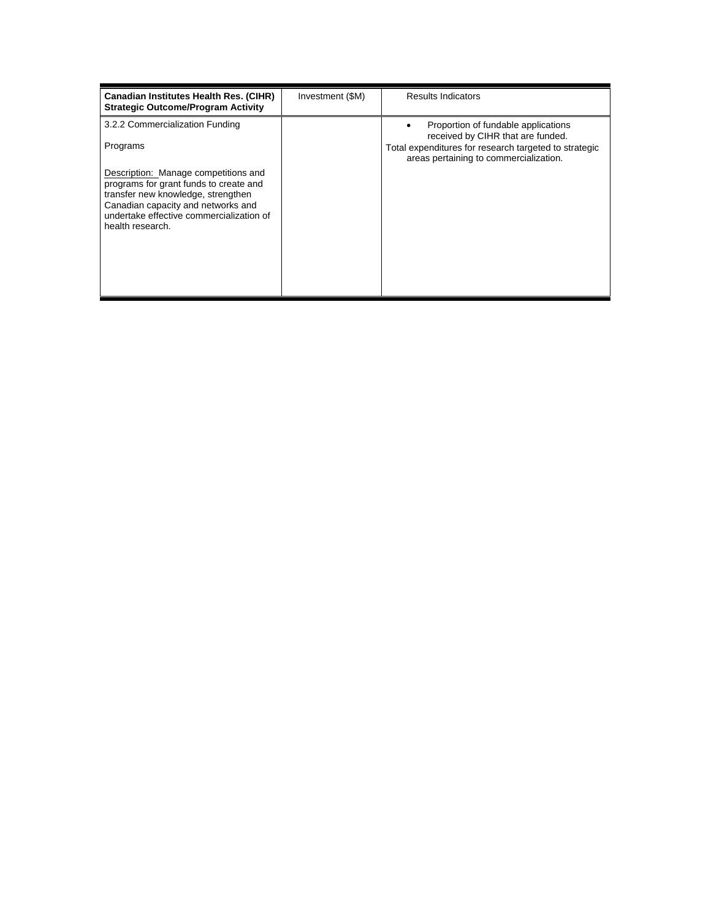| <b>Canadian Institutes Health Res. (CIHR)</b><br><b>Strategic Outcome/Program Activity</b>                                                                                                                                 | Investment (\$M) | <b>Results Indicators</b>                                                                                                         |
|----------------------------------------------------------------------------------------------------------------------------------------------------------------------------------------------------------------------------|------------------|-----------------------------------------------------------------------------------------------------------------------------------|
| 3.2.2 Commercialization Funding<br>Programs                                                                                                                                                                                |                  | Proportion of fundable applications<br>received by CIHR that are funded.<br>Total expenditures for research targeted to strategic |
| Description: Manage competitions and<br>programs for grant funds to create and<br>transfer new knowledge, strengthen<br>Canadian capacity and networks and<br>undertake effective commercialization of<br>health research. |                  | areas pertaining to commercialization.                                                                                            |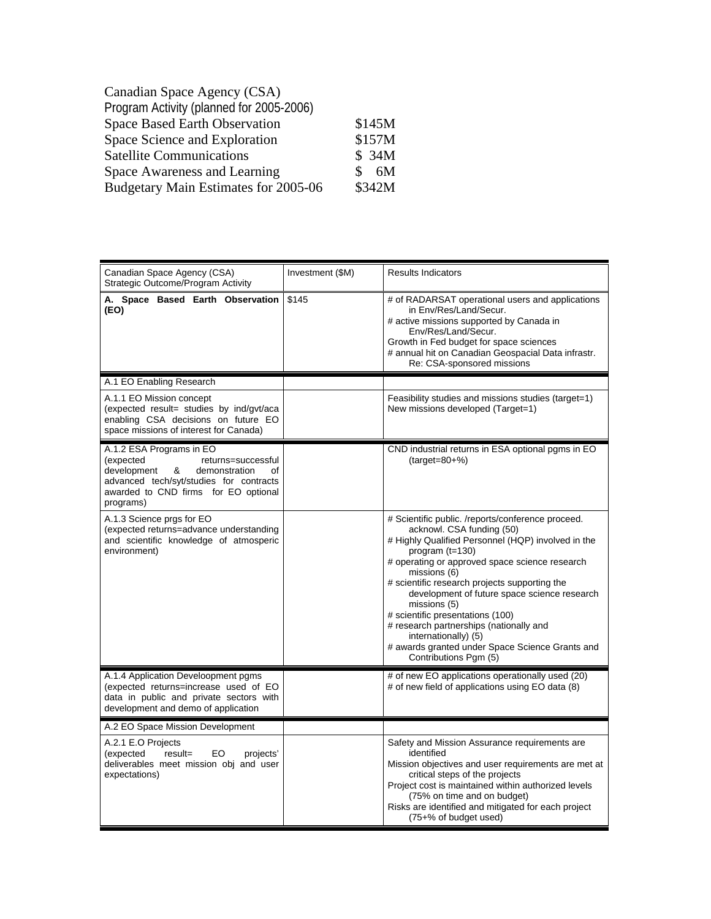| \$145M  |
|---------|
| \$157M  |
| \$34M   |
| 6M<br>Я |
| \$342M  |
|         |

| Canadian Space Agency (CSA)<br>Strategic Outcome/Program Activity                                                                                                                                      | Investment (\$M) | <b>Results Indicators</b>                                                                                                                                                                                                                                                                                                                                                                                                                                                                                                       |
|--------------------------------------------------------------------------------------------------------------------------------------------------------------------------------------------------------|------------------|---------------------------------------------------------------------------------------------------------------------------------------------------------------------------------------------------------------------------------------------------------------------------------------------------------------------------------------------------------------------------------------------------------------------------------------------------------------------------------------------------------------------------------|
| A. Space Based Earth Observation<br>(EO)                                                                                                                                                               | \$145            | # of RADARSAT operational users and applications<br>in Env/Res/Land/Secur.<br># active missions supported by Canada in<br>Env/Res/Land/Secur.<br>Growth in Fed budget for space sciences<br># annual hit on Canadian Geospacial Data infrastr.<br>Re: CSA-sponsored missions                                                                                                                                                                                                                                                    |
| A.1 EO Enabling Research                                                                                                                                                                               |                  |                                                                                                                                                                                                                                                                                                                                                                                                                                                                                                                                 |
| A.1.1 EO Mission concept<br>(expected result= studies by ind/gvt/aca<br>enabling CSA decisions on future EO<br>space missions of interest for Canada)                                                  |                  | Feasibility studies and missions studies (target=1)<br>New missions developed (Target=1)                                                                                                                                                                                                                                                                                                                                                                                                                                        |
| A.1.2 ESA Programs in EO<br>(expected<br>returns=successful<br>development<br>&<br>demonstration<br>of<br>advanced tech/syt/studies for contracts<br>awarded to CND firms for EO optional<br>programs) |                  | CND industrial returns in ESA optional pgms in EO<br>$(target=80+%)$                                                                                                                                                                                                                                                                                                                                                                                                                                                            |
| A.1.3 Science prgs for EO<br>(expected returns=advance understanding<br>and scientific knowledge of atmosperic<br>environment)                                                                         |                  | # Scientific public. /reports/conference proceed.<br>acknowl. CSA funding (50)<br># Highly Qualified Personnel (HQP) involved in the<br>program $(t=130)$<br># operating or approved space science research<br>missions (6)<br># scientific research projects supporting the<br>development of future space science research<br>missions (5)<br># scientific presentations (100)<br># research partnerships (nationally and<br>internationally) (5)<br># awards granted under Space Science Grants and<br>Contributions Pgm (5) |
| A.1.4 Application Develoopment pgms<br>(expected returns=increase used of EO<br>data in public and private sectors with<br>development and demo of application                                         |                  | # of new EO applications operationally used (20)<br># of new field of applications using EO data (8)                                                                                                                                                                                                                                                                                                                                                                                                                            |
| A.2 EO Space Mission Development                                                                                                                                                                       |                  |                                                                                                                                                                                                                                                                                                                                                                                                                                                                                                                                 |
| A.2.1 E.O Projects<br>(expected<br>result=<br>EO.<br>projects'<br>deliverables meet mission obj and user<br>expectations)                                                                              |                  | Safety and Mission Assurance requirements are<br>identified<br>Mission objectives and user requirements are met at<br>critical steps of the projects<br>Project cost is maintained within authorized levels<br>(75% on time and on budget)<br>Risks are identified and mitigated for each project<br>(75+% of budget used)                                                                                                                                                                                                      |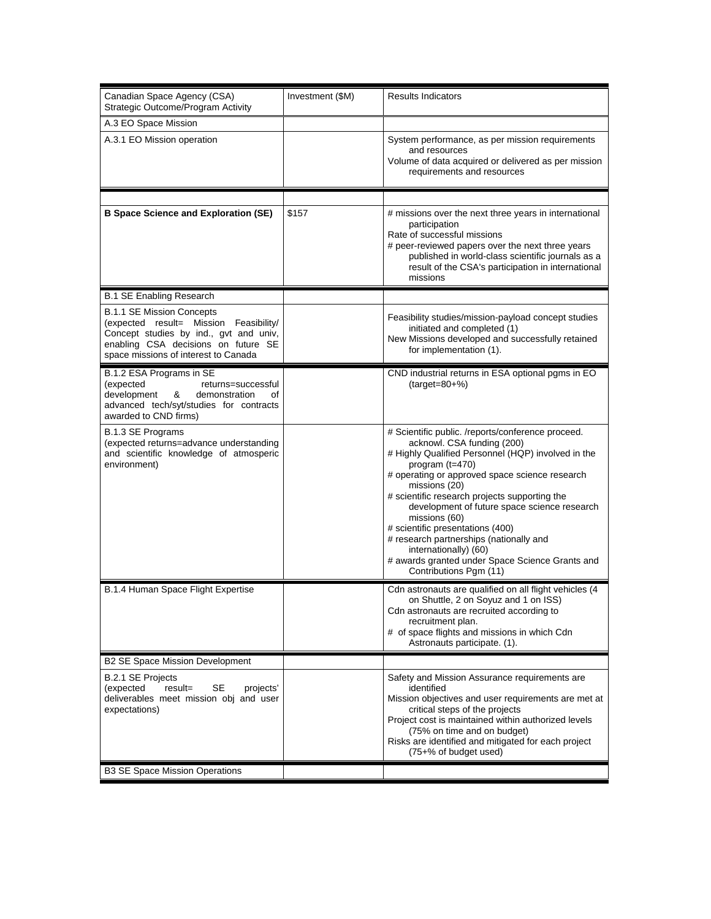| A.3 EO Space Mission<br>System performance, as per mission requirements<br>A.3.1 EO Mission operation<br>and resources<br>Volume of data acquired or delivered as per mission<br>requirements and resources<br>\$157<br><b>B Space Science and Exploration (SE)</b><br># missions over the next three years in international<br>participation<br>Rate of successful missions<br># peer-reviewed papers over the next three years<br>published in world-class scientific journals as a<br>result of the CSA's participation in international<br>missions<br><b>B.1 SE Enabling Research</b><br><b>B.1.1 SE Mission Concepts</b><br>Feasibility studies/mission-payload concept studies<br>(expected result= Mission Feasibility/<br>initiated and completed (1)<br>Concept studies by ind., gvt and univ,<br>New Missions developed and successfully retained<br>enabling CSA decisions on future SE<br>for implementation (1).<br>space missions of interest to Canada<br>B.1.2 ESA Programs in SE<br>CND industrial returns in ESA optional pgms in EO<br>$(target=80+%)$<br>(expected<br>returns=successful<br>development<br>&<br>demonstration<br>of<br>advanced tech/syt/studies for contracts<br>awarded to CND firms)<br># Scientific public. /reports/conference proceed.<br><b>B.1.3 SE Programs</b><br>(expected returns=advance understanding<br>acknowl. CSA funding (200)<br># Highly Qualified Personnel (HQP) involved in the<br>and scientific knowledge of atmosperic<br>environment)<br>program $(t=470)$<br># operating or approved space science research<br>missions (20)<br># scientific research projects supporting the<br>development of future space science research<br>missions (60)<br># scientific presentations (400)<br># research partnerships (nationally and<br>internationally) (60)<br># awards granted under Space Science Grants and<br>Contributions Pgm (11)<br>Cdn astronauts are qualified on all flight vehicles (4<br>B.1.4 Human Space Flight Expertise<br>on Shuttle, 2 on Soyuz and 1 on ISS)<br>Cdn astronauts are recruited according to<br>recruitment plan.<br># of space flights and missions in which Cdn<br>Astronauts participate. (1).<br>B2 SE Space Mission Development<br><b>B.2.1 SE Projects</b><br>Safety and Mission Assurance requirements are<br>SE.<br>identified<br>(expected<br>result=<br>projects'<br>deliverables meet mission obj and user<br>Mission objectives and user requirements are met at<br>expectations)<br>critical steps of the projects<br>Project cost is maintained within authorized levels<br>(75% on time and on budget)<br>Risks are identified and mitigated for each project<br>(75+% of budget used) | Canadian Space Agency (CSA)<br>Strategic Outcome/Program Activity | Investment (\$M) | <b>Results Indicators</b> |
|-----------------------------------------------------------------------------------------------------------------------------------------------------------------------------------------------------------------------------------------------------------------------------------------------------------------------------------------------------------------------------------------------------------------------------------------------------------------------------------------------------------------------------------------------------------------------------------------------------------------------------------------------------------------------------------------------------------------------------------------------------------------------------------------------------------------------------------------------------------------------------------------------------------------------------------------------------------------------------------------------------------------------------------------------------------------------------------------------------------------------------------------------------------------------------------------------------------------------------------------------------------------------------------------------------------------------------------------------------------------------------------------------------------------------------------------------------------------------------------------------------------------------------------------------------------------------------------------------------------------------------------------------------------------------------------------------------------------------------------------------------------------------------------------------------------------------------------------------------------------------------------------------------------------------------------------------------------------------------------------------------------------------------------------------------------------------------------------------------------------------------------------------------------------------------------------------------------------------------------------------------------------------------------------------------------------------------------------------------------------------------------------------------------------------------------------------------------------------------------------------------------------------------------------------------------------------------------------------------------------------------------------------------------------------------------------------------|-------------------------------------------------------------------|------------------|---------------------------|
|                                                                                                                                                                                                                                                                                                                                                                                                                                                                                                                                                                                                                                                                                                                                                                                                                                                                                                                                                                                                                                                                                                                                                                                                                                                                                                                                                                                                                                                                                                                                                                                                                                                                                                                                                                                                                                                                                                                                                                                                                                                                                                                                                                                                                                                                                                                                                                                                                                                                                                                                                                                                                                                                                                     |                                                                   |                  |                           |
|                                                                                                                                                                                                                                                                                                                                                                                                                                                                                                                                                                                                                                                                                                                                                                                                                                                                                                                                                                                                                                                                                                                                                                                                                                                                                                                                                                                                                                                                                                                                                                                                                                                                                                                                                                                                                                                                                                                                                                                                                                                                                                                                                                                                                                                                                                                                                                                                                                                                                                                                                                                                                                                                                                     |                                                                   |                  |                           |
|                                                                                                                                                                                                                                                                                                                                                                                                                                                                                                                                                                                                                                                                                                                                                                                                                                                                                                                                                                                                                                                                                                                                                                                                                                                                                                                                                                                                                                                                                                                                                                                                                                                                                                                                                                                                                                                                                                                                                                                                                                                                                                                                                                                                                                                                                                                                                                                                                                                                                                                                                                                                                                                                                                     |                                                                   |                  |                           |
|                                                                                                                                                                                                                                                                                                                                                                                                                                                                                                                                                                                                                                                                                                                                                                                                                                                                                                                                                                                                                                                                                                                                                                                                                                                                                                                                                                                                                                                                                                                                                                                                                                                                                                                                                                                                                                                                                                                                                                                                                                                                                                                                                                                                                                                                                                                                                                                                                                                                                                                                                                                                                                                                                                     |                                                                   |                  |                           |
|                                                                                                                                                                                                                                                                                                                                                                                                                                                                                                                                                                                                                                                                                                                                                                                                                                                                                                                                                                                                                                                                                                                                                                                                                                                                                                                                                                                                                                                                                                                                                                                                                                                                                                                                                                                                                                                                                                                                                                                                                                                                                                                                                                                                                                                                                                                                                                                                                                                                                                                                                                                                                                                                                                     |                                                                   |                  |                           |
|                                                                                                                                                                                                                                                                                                                                                                                                                                                                                                                                                                                                                                                                                                                                                                                                                                                                                                                                                                                                                                                                                                                                                                                                                                                                                                                                                                                                                                                                                                                                                                                                                                                                                                                                                                                                                                                                                                                                                                                                                                                                                                                                                                                                                                                                                                                                                                                                                                                                                                                                                                                                                                                                                                     |                                                                   |                  |                           |
|                                                                                                                                                                                                                                                                                                                                                                                                                                                                                                                                                                                                                                                                                                                                                                                                                                                                                                                                                                                                                                                                                                                                                                                                                                                                                                                                                                                                                                                                                                                                                                                                                                                                                                                                                                                                                                                                                                                                                                                                                                                                                                                                                                                                                                                                                                                                                                                                                                                                                                                                                                                                                                                                                                     |                                                                   |                  |                           |
|                                                                                                                                                                                                                                                                                                                                                                                                                                                                                                                                                                                                                                                                                                                                                                                                                                                                                                                                                                                                                                                                                                                                                                                                                                                                                                                                                                                                                                                                                                                                                                                                                                                                                                                                                                                                                                                                                                                                                                                                                                                                                                                                                                                                                                                                                                                                                                                                                                                                                                                                                                                                                                                                                                     |                                                                   |                  |                           |
|                                                                                                                                                                                                                                                                                                                                                                                                                                                                                                                                                                                                                                                                                                                                                                                                                                                                                                                                                                                                                                                                                                                                                                                                                                                                                                                                                                                                                                                                                                                                                                                                                                                                                                                                                                                                                                                                                                                                                                                                                                                                                                                                                                                                                                                                                                                                                                                                                                                                                                                                                                                                                                                                                                     |                                                                   |                  |                           |
|                                                                                                                                                                                                                                                                                                                                                                                                                                                                                                                                                                                                                                                                                                                                                                                                                                                                                                                                                                                                                                                                                                                                                                                                                                                                                                                                                                                                                                                                                                                                                                                                                                                                                                                                                                                                                                                                                                                                                                                                                                                                                                                                                                                                                                                                                                                                                                                                                                                                                                                                                                                                                                                                                                     |                                                                   |                  |                           |
|                                                                                                                                                                                                                                                                                                                                                                                                                                                                                                                                                                                                                                                                                                                                                                                                                                                                                                                                                                                                                                                                                                                                                                                                                                                                                                                                                                                                                                                                                                                                                                                                                                                                                                                                                                                                                                                                                                                                                                                                                                                                                                                                                                                                                                                                                                                                                                                                                                                                                                                                                                                                                                                                                                     |                                                                   |                  |                           |
|                                                                                                                                                                                                                                                                                                                                                                                                                                                                                                                                                                                                                                                                                                                                                                                                                                                                                                                                                                                                                                                                                                                                                                                                                                                                                                                                                                                                                                                                                                                                                                                                                                                                                                                                                                                                                                                                                                                                                                                                                                                                                                                                                                                                                                                                                                                                                                                                                                                                                                                                                                                                                                                                                                     | <b>B3 SE Space Mission Operations</b>                             |                  |                           |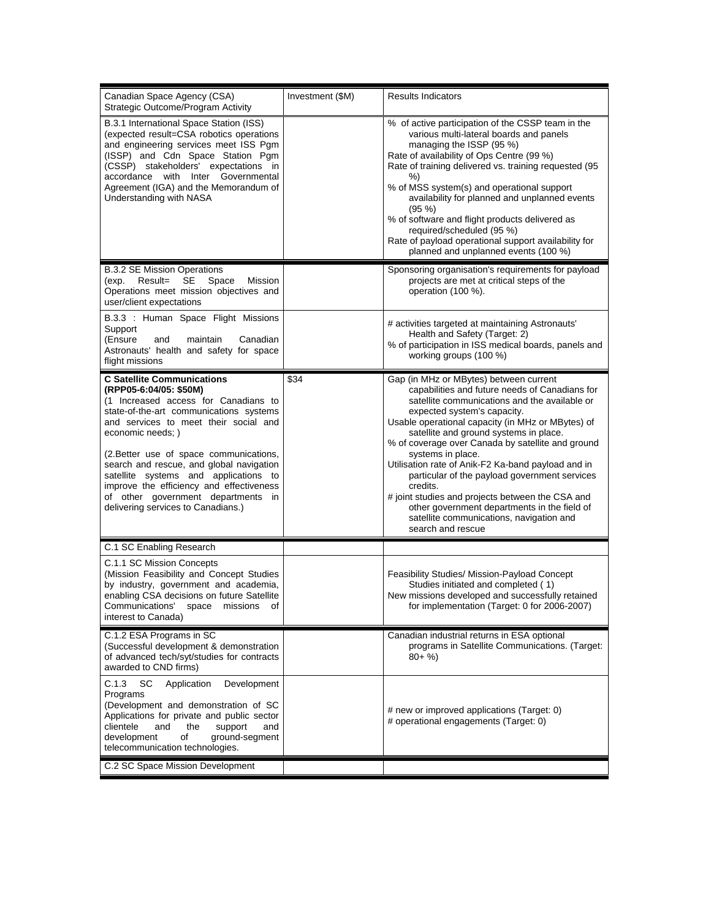| Canadian Space Agency (CSA)<br>Strategic Outcome/Program Activity                                                                                                                                                                                                                                                                                                                                                                                                    | Investment (\$M) | <b>Results Indicators</b>                                                                                                                                                                                                                                                                                                                                                                                                                                                                                                                                                                                                                 |
|----------------------------------------------------------------------------------------------------------------------------------------------------------------------------------------------------------------------------------------------------------------------------------------------------------------------------------------------------------------------------------------------------------------------------------------------------------------------|------------------|-------------------------------------------------------------------------------------------------------------------------------------------------------------------------------------------------------------------------------------------------------------------------------------------------------------------------------------------------------------------------------------------------------------------------------------------------------------------------------------------------------------------------------------------------------------------------------------------------------------------------------------------|
| B.3.1 International Space Station (ISS)<br>(expected result=CSA robotics operations<br>and engineering services meet ISS Pgm<br>(ISSP) and Cdn Space Station Pgm<br>(CSSP) stakeholders' expectations in<br>accordance with Inter Governmental<br>Agreement (IGA) and the Memorandum of<br>Understanding with NASA                                                                                                                                                   |                  | % of active participation of the CSSP team in the<br>various multi-lateral boards and panels<br>managing the ISSP (95 %)<br>Rate of availability of Ops Centre (99 %)<br>Rate of training delivered vs. training requested (95<br>%)<br>% of MSS system(s) and operational support<br>availability for planned and unplanned events<br>$(95\%)$<br>% of software and flight products delivered as<br>required/scheduled (95 %)<br>Rate of payload operational support availability for<br>planned and unplanned events (100 %)                                                                                                            |
| <b>B.3.2 SE Mission Operations</b><br>Result=<br>SE<br>Space<br>Mission<br>(exp.<br>Operations meet mission objectives and<br>user/client expectations                                                                                                                                                                                                                                                                                                               |                  | Sponsoring organisation's requirements for payload<br>projects are met at critical steps of the<br>operation (100 %).                                                                                                                                                                                                                                                                                                                                                                                                                                                                                                                     |
| B.3.3 : Human Space Flight Missions<br>Support<br>(Ensure<br>Canadian<br>and<br>maintain<br>Astronauts' health and safety for space<br>flight missions                                                                                                                                                                                                                                                                                                               |                  | # activities targeted at maintaining Astronauts'<br>Health and Safety (Target: 2)<br>% of participation in ISS medical boards, panels and<br>working groups (100 %)                                                                                                                                                                                                                                                                                                                                                                                                                                                                       |
| <b>C Satellite Communications</b><br>(RPP05-6:04/05: \$50M)<br>(1 Increased access for Canadians to<br>state-of-the-art communications systems<br>and services to meet their social and<br>economic needs; )<br>(2. Better use of space communications,<br>search and rescue, and global navigation<br>satellite systems and applications to<br>improve the efficiency and effectiveness<br>of other government departments in<br>delivering services to Canadians.) | \$34             | Gap (in MHz or MBytes) between current<br>capabilities and future needs of Canadians for<br>satellite communications and the available or<br>expected system's capacity.<br>Usable operational capacity (in MHz or MBytes) of<br>satellite and ground systems in place.<br>% of coverage over Canada by satellite and ground<br>systems in place.<br>Utilisation rate of Anik-F2 Ka-band payload and in<br>particular of the payload government services<br>credits.<br># joint studies and projects between the CSA and<br>other government departments in the field of<br>satellite communications, navigation and<br>search and rescue |
| C.1 SC Enabling Research                                                                                                                                                                                                                                                                                                                                                                                                                                             |                  |                                                                                                                                                                                                                                                                                                                                                                                                                                                                                                                                                                                                                                           |
| C.1.1 SC Mission Concepts<br>(Mission Feasibility and Concept Studies<br>by industry, government and academia,<br>enabling CSA decisions on future Satellite<br>Communications' space missions<br>of<br>interest to Canada)                                                                                                                                                                                                                                          |                  | Feasibility Studies/ Mission-Payload Concept<br>Studies initiated and completed (1)<br>New missions developed and successfully retained<br>for implementation (Target: 0 for 2006-2007)                                                                                                                                                                                                                                                                                                                                                                                                                                                   |
| C.1.2 ESA Programs in SC<br>(Successful development & demonstration<br>of advanced tech/syt/studies for contracts<br>awarded to CND firms)                                                                                                                                                                                                                                                                                                                           |                  | Canadian industrial returns in ESA optional<br>programs in Satellite Communications. (Target:<br>$80 + \%$                                                                                                                                                                                                                                                                                                                                                                                                                                                                                                                                |
| C.1.3<br>- SC<br>Application<br>Development<br>Programs<br>(Development and demonstration of SC<br>Applications for private and public sector<br>clientele<br>and<br>the<br>support<br>and<br>development<br>of<br>ground-segment<br>telecommunication technologies.                                                                                                                                                                                                 |                  | # new or improved applications (Target: 0)<br># operational engagements (Target: 0)                                                                                                                                                                                                                                                                                                                                                                                                                                                                                                                                                       |
| C.2 SC Space Mission Development                                                                                                                                                                                                                                                                                                                                                                                                                                     |                  |                                                                                                                                                                                                                                                                                                                                                                                                                                                                                                                                                                                                                                           |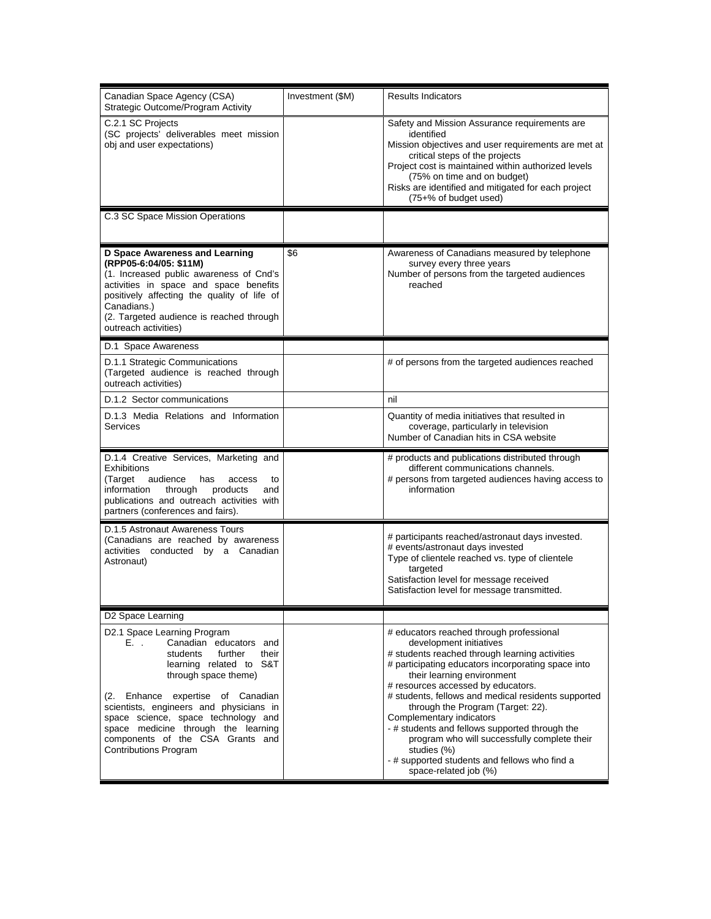| Canadian Space Agency (CSA)<br>Strategic Outcome/Program Activity                                                                                                                                                                                                                                                                                                                  | Investment (\$M) | <b>Results Indicators</b>                                                                                                                                                                                                                                                                                                                                                                                                                                                                                                                                          |
|------------------------------------------------------------------------------------------------------------------------------------------------------------------------------------------------------------------------------------------------------------------------------------------------------------------------------------------------------------------------------------|------------------|--------------------------------------------------------------------------------------------------------------------------------------------------------------------------------------------------------------------------------------------------------------------------------------------------------------------------------------------------------------------------------------------------------------------------------------------------------------------------------------------------------------------------------------------------------------------|
| C.2.1 SC Projects<br>(SC projects' deliverables meet mission<br>obj and user expectations)                                                                                                                                                                                                                                                                                         |                  | Safety and Mission Assurance requirements are<br>identified<br>Mission objectives and user requirements are met at<br>critical steps of the projects<br>Project cost is maintained within authorized levels<br>(75% on time and on budget)<br>Risks are identified and mitigated for each project<br>(75+% of budget used)                                                                                                                                                                                                                                         |
| C.3 SC Space Mission Operations                                                                                                                                                                                                                                                                                                                                                    |                  |                                                                                                                                                                                                                                                                                                                                                                                                                                                                                                                                                                    |
| <b>D Space Awareness and Learning</b><br>(RPP05-6:04/05: \$11M)<br>(1. Increased public awareness of Cnd's<br>activities in space and space benefits<br>positively affecting the quality of life of<br>Canadians.)<br>(2. Targeted audience is reached through<br>outreach activities)                                                                                             | \$6              | Awareness of Canadians measured by telephone<br>survey every three years<br>Number of persons from the targeted audiences<br>reached                                                                                                                                                                                                                                                                                                                                                                                                                               |
| D.1 Space Awareness                                                                                                                                                                                                                                                                                                                                                                |                  |                                                                                                                                                                                                                                                                                                                                                                                                                                                                                                                                                                    |
| D.1.1 Strategic Communications<br>(Targeted audience is reached through<br>outreach activities)                                                                                                                                                                                                                                                                                    |                  | # of persons from the targeted audiences reached                                                                                                                                                                                                                                                                                                                                                                                                                                                                                                                   |
| D.1.2 Sector communications                                                                                                                                                                                                                                                                                                                                                        |                  | nil                                                                                                                                                                                                                                                                                                                                                                                                                                                                                                                                                                |
| D.1.3 Media Relations and Information<br>Services                                                                                                                                                                                                                                                                                                                                  |                  | Quantity of media initiatives that resulted in<br>coverage, particularly in television<br>Number of Canadian hits in CSA website                                                                                                                                                                                                                                                                                                                                                                                                                                   |
| D.1.4 Creative Services, Marketing and<br><b>Exhibitions</b><br>audience<br>(Target<br>has<br>access<br>to<br>information<br>through<br>products<br>and<br>publications and outreach activities with<br>partners (conferences and fairs).                                                                                                                                          |                  | # products and publications distributed through<br>different communications channels.<br># persons from targeted audiences having access to<br>information                                                                                                                                                                                                                                                                                                                                                                                                         |
| D.1.5 Astronaut Awareness Tours<br>(Canadians are reached by awareness<br>activities conducted by a Canadian<br>Astronaut)                                                                                                                                                                                                                                                         |                  | # participants reached/astronaut days invested.<br># events/astronaut days invested<br>Type of clientele reached vs. type of clientele<br>targeted<br>Satisfaction level for message received<br>Satisfaction level for message transmitted.                                                                                                                                                                                                                                                                                                                       |
| D2 Space Learning                                                                                                                                                                                                                                                                                                                                                                  |                  |                                                                                                                                                                                                                                                                                                                                                                                                                                                                                                                                                                    |
| D2.1 Space Learning Program<br>Canadian educators and<br>E. .<br>further<br>students<br>their<br>learning related to S&T<br>through space theme)<br>(2. Enhance expertise of Canadian<br>scientists, engineers and physicians in<br>space science, space technology and<br>space medicine through the learning<br>components of the CSA Grants and<br><b>Contributions Program</b> |                  | # educators reached through professional<br>development initiatives<br># students reached through learning activities<br># participating educators incorporating space into<br>their learning environment<br># resources accessed by educators.<br># students, fellows and medical residents supported<br>through the Program (Target: 22).<br>Complementary indicators<br>- # students and fellows supported through the<br>program who will successfully complete their<br>studies (%)<br>- # supported students and fellows who find a<br>space-related job (%) |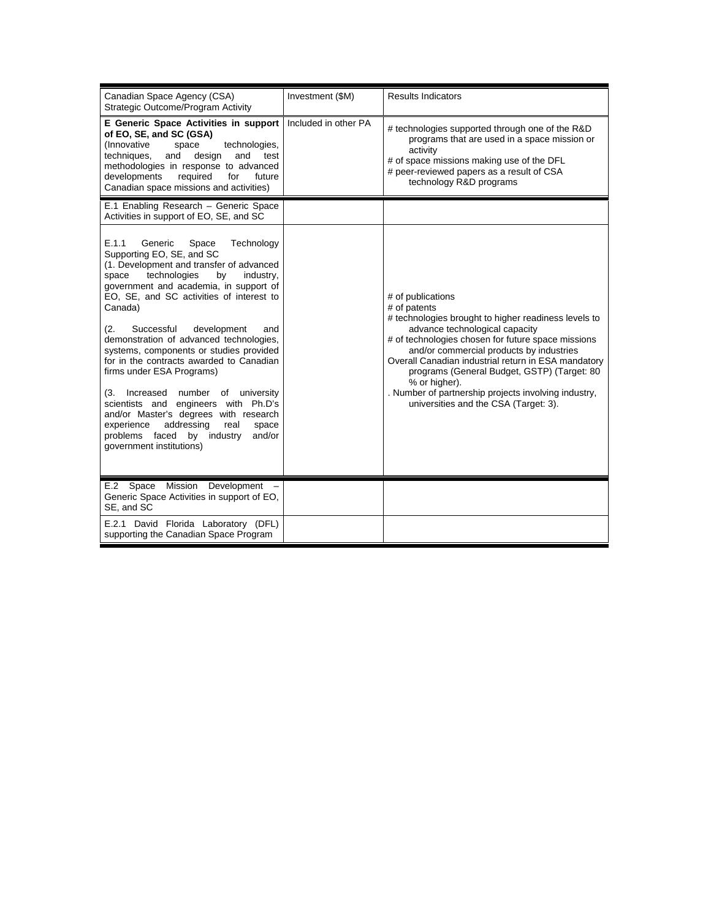| Canadian Space Agency (CSA)<br>Strategic Outcome/Program Activity                                                                                                                                                                                                                                                                                                                                                                                                                                                                                                                                                                                                                                                        | Investment (\$M)     | <b>Results Indicators</b>                                                                                                                                                                                                                                                                                                                                                                                                                             |
|--------------------------------------------------------------------------------------------------------------------------------------------------------------------------------------------------------------------------------------------------------------------------------------------------------------------------------------------------------------------------------------------------------------------------------------------------------------------------------------------------------------------------------------------------------------------------------------------------------------------------------------------------------------------------------------------------------------------------|----------------------|-------------------------------------------------------------------------------------------------------------------------------------------------------------------------------------------------------------------------------------------------------------------------------------------------------------------------------------------------------------------------------------------------------------------------------------------------------|
| E Generic Space Activities in support<br>of EO, SE, and SC (GSA)<br>(Innovative<br>technologies,<br>space<br>techniques,<br>and<br>design<br>and<br>test<br>methodologies in response to advanced<br>developments<br>required<br>for<br>future<br>Canadian space missions and activities)                                                                                                                                                                                                                                                                                                                                                                                                                                | Included in other PA | # technologies supported through one of the R&D<br>programs that are used in a space mission or<br>activity<br># of space missions making use of the DFL<br># peer-reviewed papers as a result of CSA<br>technology R&D programs                                                                                                                                                                                                                      |
| E.1 Enabling Research - Generic Space<br>Activities in support of EO, SE, and SC                                                                                                                                                                                                                                                                                                                                                                                                                                                                                                                                                                                                                                         |                      |                                                                                                                                                                                                                                                                                                                                                                                                                                                       |
| E.1.1<br>Generic<br>Technology<br>Space<br>Supporting EO, SE, and SC<br>(1. Development and transfer of advanced<br>technologies<br>space<br>by<br>industry,<br>government and academia, in support of<br>EO, SE, and SC activities of interest to<br>Canada)<br>(2.<br>Successful<br>development<br>and<br>demonstration of advanced technologies,<br>systems, components or studies provided<br>for in the contracts awarded to Canadian<br>firms under ESA Programs)<br>number of university<br>(3.<br>Increased<br>scientists and engineers with Ph.D's<br>and/or Master's degrees with research<br>addressing<br>real<br>experience<br>space<br>problems faced<br>by industry<br>and/or<br>government institutions) |                      | # of publications<br># of patents<br># technologies brought to higher readiness levels to<br>advance technological capacity<br># of technologies chosen for future space missions<br>and/or commercial products by industries<br>Overall Canadian industrial return in ESA mandatory<br>programs (General Budget, GSTP) (Target: 80<br>% or higher).<br>. Number of partnership projects involving industry,<br>universities and the CSA (Target: 3). |
| Space<br>Mission<br>Development<br>E.2<br>Generic Space Activities in support of EO.<br>SE, and SC                                                                                                                                                                                                                                                                                                                                                                                                                                                                                                                                                                                                                       |                      |                                                                                                                                                                                                                                                                                                                                                                                                                                                       |
| E.2.1 David Florida Laboratory (DFL)<br>supporting the Canadian Space Program                                                                                                                                                                                                                                                                                                                                                                                                                                                                                                                                                                                                                                            |                      |                                                                                                                                                                                                                                                                                                                                                                                                                                                       |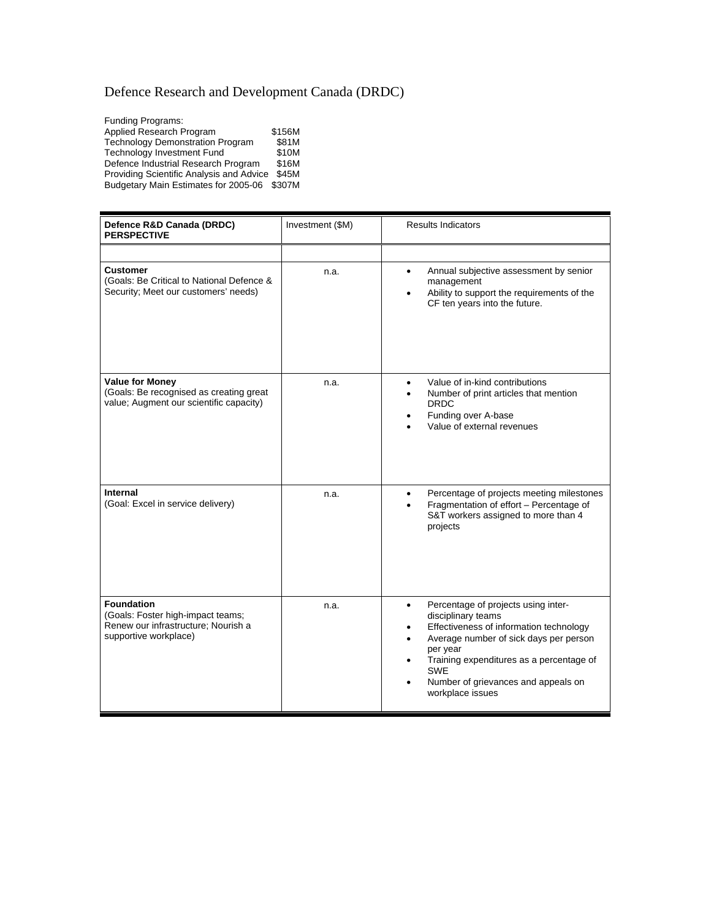# Defence Research and Development Canada (DRDC)

| <b>Funding Programs:</b>                    |        |
|---------------------------------------------|--------|
| Applied Research Program                    | \$156M |
| <b>Technology Demonstration Program</b>     | \$81M  |
| <b>Technology Investment Fund</b>           | \$10M  |
| Defence Industrial Research Program         | \$16M  |
| Providing Scientific Analysis and Advice    | \$45M  |
| Budgetary Main Estimates for 2005-06 \$307M |        |
|                                             |        |

| Defence R&D Canada (DRDC)<br><b>PERSPECTIVE</b>                                                                        | Investment (\$M) | <b>Results Indicators</b>                                                                                                                                                                                                                                                                                      |
|------------------------------------------------------------------------------------------------------------------------|------------------|----------------------------------------------------------------------------------------------------------------------------------------------------------------------------------------------------------------------------------------------------------------------------------------------------------------|
|                                                                                                                        |                  |                                                                                                                                                                                                                                                                                                                |
| Customer<br>(Goals: Be Critical to National Defence &<br>Security; Meet our customers' needs)                          | n.a.             | Annual subjective assessment by senior<br>$\bullet$<br>management<br>Ability to support the requirements of the<br>$\bullet$<br>CF ten years into the future.                                                                                                                                                  |
| <b>Value for Money</b><br>(Goals: Be recognised as creating great<br>value; Augment our scientific capacity)           | n.a.             | Value of in-kind contributions<br>$\bullet$<br>Number of print articles that mention<br>$\bullet$<br><b>DRDC</b><br>Funding over A-base<br>Value of external revenues                                                                                                                                          |
| Internal<br>(Goal: Excel in service delivery)                                                                          | n.a.             | Percentage of projects meeting milestones<br>$\bullet$<br>Fragmentation of effort - Percentage of<br>$\bullet$<br>S&T workers assigned to more than 4<br>projects                                                                                                                                              |
| <b>Foundation</b><br>(Goals: Foster high-impact teams;<br>Renew our infrastructure; Nourish a<br>supportive workplace) | n.a.             | Percentage of projects using inter-<br>$\bullet$<br>disciplinary teams<br>Effectiveness of information technology<br>٠<br>Average number of sick days per person<br>$\bullet$<br>per year<br>Training expenditures as a percentage of<br><b>SWE</b><br>Number of grievances and appeals on<br>workplace issues |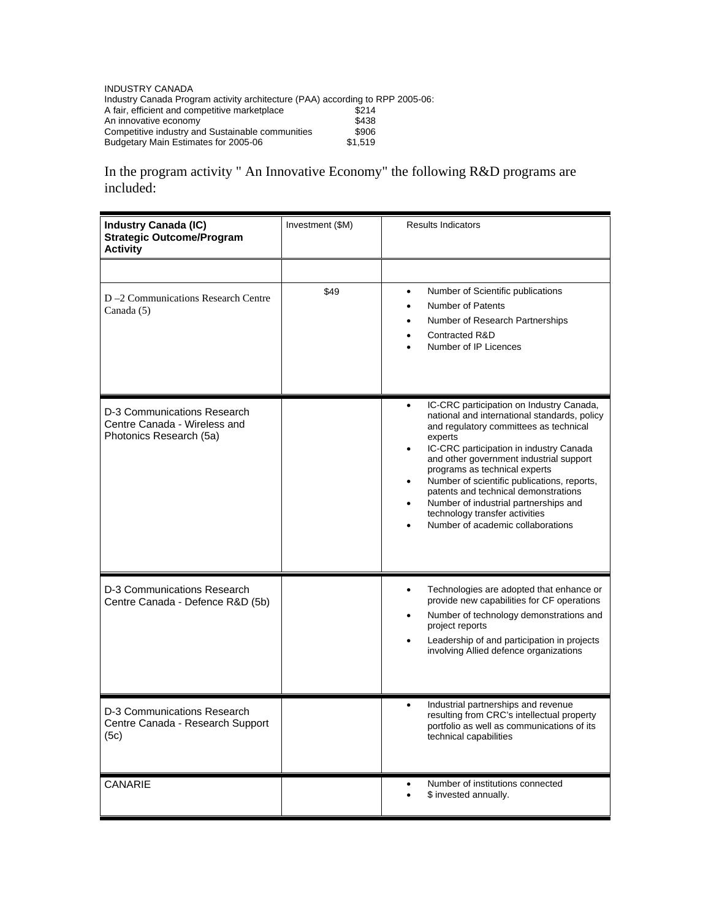INDUSTRY CANADA Industry Canada Program activity architecture (PAA) according to RPP 2005-06: A fair, efficient and competitive marketplace  $$214$ An innovative economy between the state  $$438$ Competitive industry and Sustainable communities \$906 Budgetary Main Estimates for 2005-06  $$1,519$ 

In the program activity " An Innovative Economy" the following R&D programs are included:

| <b>Industry Canada (IC)</b><br><b>Strategic Outcome/Program</b><br><b>Activity</b>     | Investment (\$M) | <b>Results Indicators</b>                                                                                                                                                                                                                                                                                                                                                                                                                                                                                          |
|----------------------------------------------------------------------------------------|------------------|--------------------------------------------------------------------------------------------------------------------------------------------------------------------------------------------------------------------------------------------------------------------------------------------------------------------------------------------------------------------------------------------------------------------------------------------------------------------------------------------------------------------|
| D-2 Communications Research Centre<br>Canada (5)                                       | \$49             | Number of Scientific publications<br>$\bullet$<br>Number of Patents<br>$\bullet$<br>Number of Research Partnerships<br>Contracted R&D<br>Number of IP Licences                                                                                                                                                                                                                                                                                                                                                     |
| D-3 Communications Research<br>Centre Canada - Wireless and<br>Photonics Research (5a) |                  | IC-CRC participation on Industry Canada,<br>$\bullet$<br>national and international standards, policy<br>and regulatory committees as technical<br>experts<br>IC-CRC participation in industry Canada<br>$\bullet$<br>and other government industrial support<br>programs as technical experts<br>Number of scientific publications, reports,<br>$\bullet$<br>patents and technical demonstrations<br>Number of industrial partnerships and<br>technology transfer activities<br>Number of academic collaborations |
| D-3 Communications Research<br>Centre Canada - Defence R&D (5b)                        |                  | Technologies are adopted that enhance or<br>$\bullet$<br>provide new capabilities for CF operations<br>Number of technology demonstrations and<br>project reports<br>Leadership of and participation in projects<br>involving Allied defence organizations                                                                                                                                                                                                                                                         |
| D-3 Communications Research<br>Centre Canada - Research Support<br>(5c)                |                  | Industrial partnerships and revenue<br>resulting from CRC's intellectual property<br>portfolio as well as communications of its<br>technical capabilities                                                                                                                                                                                                                                                                                                                                                          |
| CANARIE                                                                                |                  | Number of institutions connected<br>\$ invested annually.                                                                                                                                                                                                                                                                                                                                                                                                                                                          |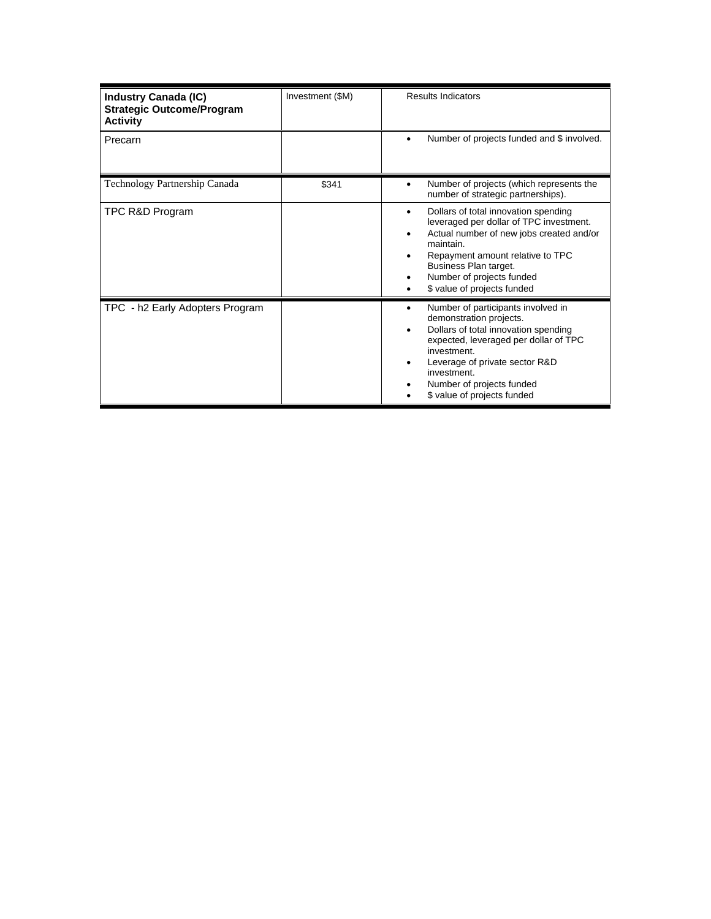| <b>Industry Canada (IC)</b><br><b>Strategic Outcome/Program</b><br><b>Activity</b> | Investment (\$M) | <b>Results Indicators</b>                                                                                                                                                                                                                                                       |
|------------------------------------------------------------------------------------|------------------|---------------------------------------------------------------------------------------------------------------------------------------------------------------------------------------------------------------------------------------------------------------------------------|
| Precarn                                                                            |                  | Number of projects funded and \$ involved.                                                                                                                                                                                                                                      |
| Technology Partnership Canada                                                      | \$341            | Number of projects (which represents the<br>٠<br>number of strategic partnerships).                                                                                                                                                                                             |
| TPC R&D Program                                                                    |                  | Dollars of total innovation spending<br>٠<br>leveraged per dollar of TPC investment.<br>Actual number of new jobs created and/or<br>٠<br>maintain.<br>Repayment amount relative to TPC<br>Business Plan target.<br>Number of projects funded<br>\$ value of projects funded     |
| TPC - h2 Early Adopters Program                                                    |                  | Number of participants involved in<br>٠<br>demonstration projects.<br>Dollars of total innovation spending<br>expected, leveraged per dollar of TPC<br>investment.<br>Leverage of private sector R&D<br>investment.<br>Number of projects funded<br>\$ value of projects funded |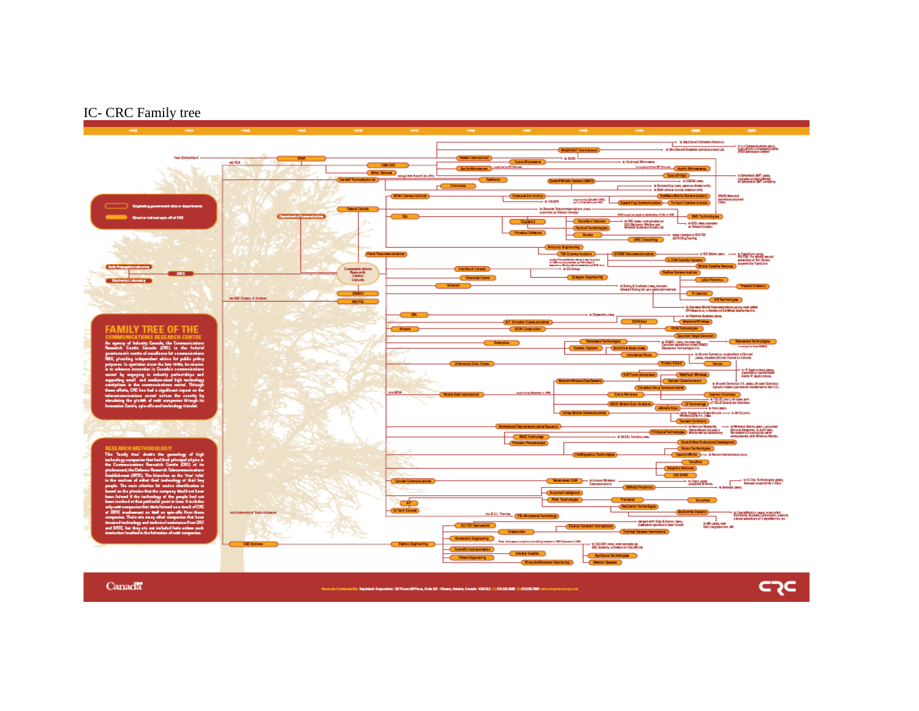#### IC- CRC Family tree



Canada

Becaush 5 eachs tod Dir. Designeds Composition (20Thornet MP ban, Salia 2011 Olbana, Oataria, Canada | KENELE (1) CIRLISENIO (F) CIRCOSE 2000 verved only today com

⊂קכ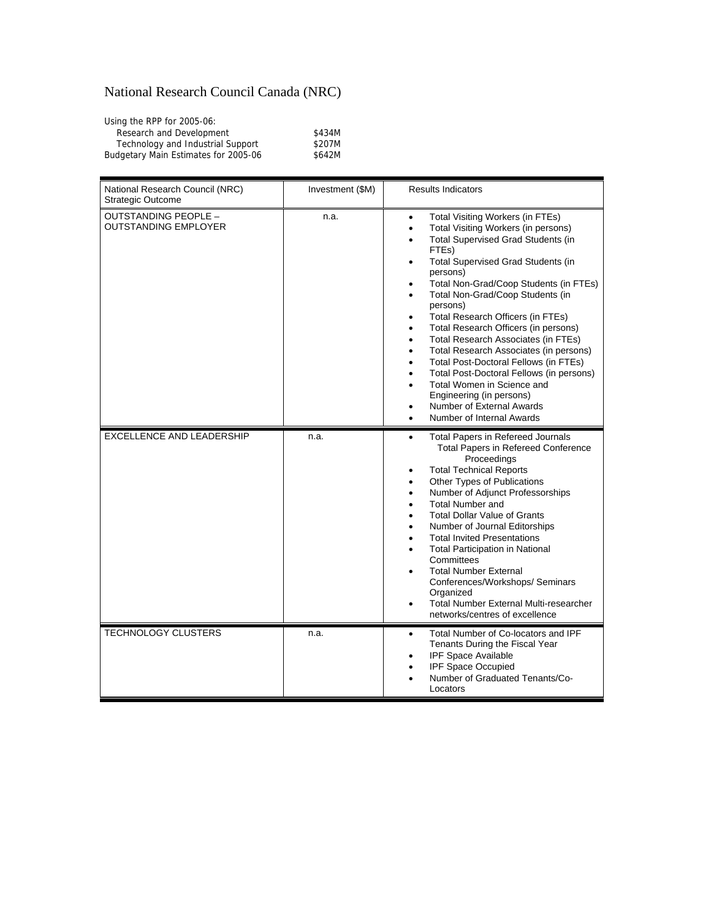## National Research Council Canada (NRC)

| Using the RPP for 2005-06:           |        |
|--------------------------------------|--------|
| Research and Development             | \$434M |
| Technology and Industrial Support    | \$207M |
| Budgetary Main Estimates for 2005-06 | \$642M |

| National Research Council (NRC)<br><b>Strategic Outcome</b> | Investment (\$M) | <b>Results Indicators</b>                                                                                                                                                                                                                                                                                                                                                                                                                                                                                                                                                                                                                                                                           |
|-------------------------------------------------------------|------------------|-----------------------------------------------------------------------------------------------------------------------------------------------------------------------------------------------------------------------------------------------------------------------------------------------------------------------------------------------------------------------------------------------------------------------------------------------------------------------------------------------------------------------------------------------------------------------------------------------------------------------------------------------------------------------------------------------------|
| OUTSTANDING PEOPLE -<br><b>OUTSTANDING EMPLOYER</b>         | n.a.             | Total Visiting Workers (in FTEs)<br>$\bullet$<br>Total Visiting Workers (in persons)<br>٠<br><b>Total Supervised Grad Students (in</b><br>FTEs)<br>Total Supervised Grad Students (in<br>٠<br>persons)<br>Total Non-Grad/Coop Students (in FTEs)<br>Total Non-Grad/Coop Students (in<br>٠<br>persons)<br>Total Research Officers (in FTEs)<br>Total Research Officers (in persons)<br>Total Research Associates (in FTEs)<br>Total Research Associates (in persons)<br>Total Post-Doctoral Fellows (in FTEs)<br>٠<br>Total Post-Doctoral Fellows (in persons)<br>Total Women in Science and<br>$\bullet$<br>Engineering (in persons)<br>Number of External Awards<br>٠<br>Number of Internal Awards |
| EXCELLENCE AND LEADERSHIP                                   | n.a.             | <b>Total Papers in Refereed Journals</b><br>٠<br><b>Total Papers in Refereed Conference</b><br>Proceedings<br><b>Total Technical Reports</b><br>Other Types of Publications<br>٠<br>Number of Adjunct Professorships<br><b>Total Number and</b><br><b>Total Dollar Value of Grants</b><br>Number of Journal Editorships<br><b>Total Invited Presentations</b><br><b>Total Participation in National</b><br>Committees<br><b>Total Number External</b><br>Conferences/Workshops/ Seminars<br>Organized<br><b>Total Number External Multi-researcher</b><br>networks/centres of excellence                                                                                                            |
| <b>TECHNOLOGY CLUSTERS</b>                                  | n.a.             | Total Number of Co-locators and IPF<br>$\bullet$<br>Tenants During the Fiscal Year<br>IPF Space Available<br>IPF Space Occupied<br>Number of Graduated Tenants/Co-<br>Locators                                                                                                                                                                                                                                                                                                                                                                                                                                                                                                                      |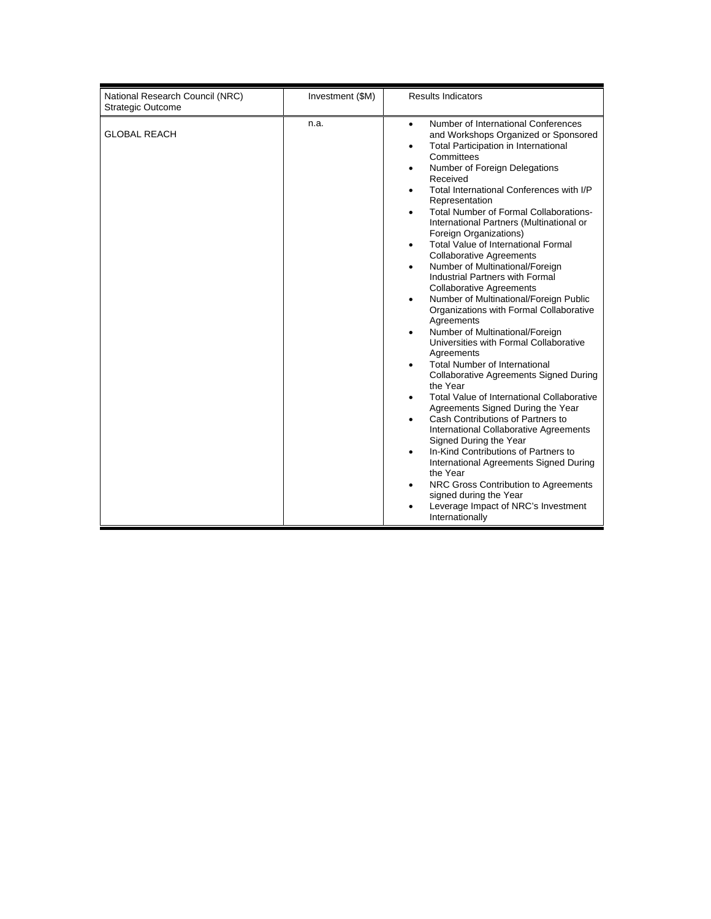| National Research Council (NRC)<br><b>Strategic Outcome</b> | Investment (\$M) | <b>Results Indicators</b>                                                                                                                                                                                                                                                                                                                                                                                                                                                                                                                                                                                                                                                                                                                                                                                                                                                                                                                                                                                                                                                                                                                                                                                                                                                                                                                                      |
|-------------------------------------------------------------|------------------|----------------------------------------------------------------------------------------------------------------------------------------------------------------------------------------------------------------------------------------------------------------------------------------------------------------------------------------------------------------------------------------------------------------------------------------------------------------------------------------------------------------------------------------------------------------------------------------------------------------------------------------------------------------------------------------------------------------------------------------------------------------------------------------------------------------------------------------------------------------------------------------------------------------------------------------------------------------------------------------------------------------------------------------------------------------------------------------------------------------------------------------------------------------------------------------------------------------------------------------------------------------------------------------------------------------------------------------------------------------|
| <b>GLOBAL REACH</b>                                         | n.a.             | Number of International Conferences<br>$\bullet$<br>and Workshops Organized or Sponsored<br>Total Participation in International<br>٠<br>Committees<br>Number of Foreign Delegations<br>٠<br>Received<br>Total International Conferences with I/P<br>Representation<br><b>Total Number of Formal Collaborations-</b><br>$\bullet$<br>International Partners (Multinational or<br>Foreign Organizations)<br><b>Total Value of International Formal</b><br>$\bullet$<br><b>Collaborative Agreements</b><br>Number of Multinational/Foreign<br>Industrial Partners with Formal<br><b>Collaborative Agreements</b><br>Number of Multinational/Foreign Public<br>٠<br>Organizations with Formal Collaborative<br>Agreements<br>Number of Multinational/Foreign<br>Universities with Formal Collaborative<br>Agreements<br><b>Total Number of International</b><br><b>Collaborative Agreements Signed During</b><br>the Year<br>Total Value of International Collaborative<br>Agreements Signed During the Year<br>Cash Contributions of Partners to<br>$\bullet$<br>International Collaborative Agreements<br>Signed During the Year<br>In-Kind Contributions of Partners to<br>٠<br>International Agreements Signed During<br>the Year<br>NRC Gross Contribution to Agreements<br>signed during the Year<br>Leverage Impact of NRC's Investment<br>Internationally |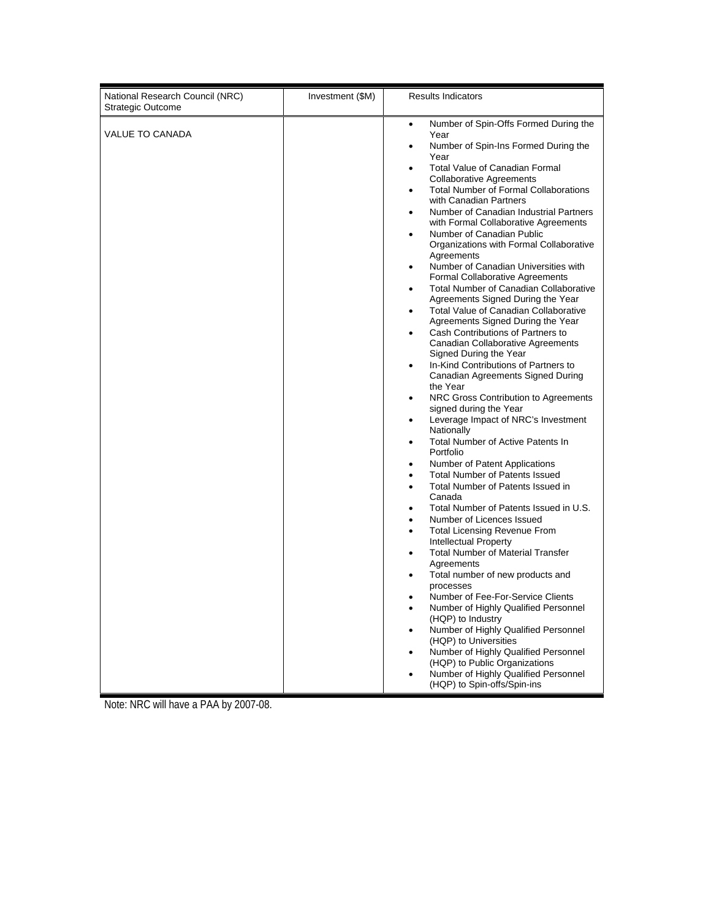| National Research Council (NRC)<br><b>Strategic Outcome</b> | Investment (\$M) | <b>Results Indicators</b>                                                                                                                                                                                                                                                                                                                                                                                                                                                                                                                                                                                                                                                                                                                                                                                                                                                                                                                                                                                                                                                                                                                                                                                                                                                                                                                                                                                                                                                                                                                                                                                                                                                                                                                                                                                                                                                                                            |
|-------------------------------------------------------------|------------------|----------------------------------------------------------------------------------------------------------------------------------------------------------------------------------------------------------------------------------------------------------------------------------------------------------------------------------------------------------------------------------------------------------------------------------------------------------------------------------------------------------------------------------------------------------------------------------------------------------------------------------------------------------------------------------------------------------------------------------------------------------------------------------------------------------------------------------------------------------------------------------------------------------------------------------------------------------------------------------------------------------------------------------------------------------------------------------------------------------------------------------------------------------------------------------------------------------------------------------------------------------------------------------------------------------------------------------------------------------------------------------------------------------------------------------------------------------------------------------------------------------------------------------------------------------------------------------------------------------------------------------------------------------------------------------------------------------------------------------------------------------------------------------------------------------------------------------------------------------------------------------------------------------------------|
| <b>VALUE TO CANADA</b>                                      |                  | Number of Spin-Offs Formed During the<br>$\bullet$<br>Year<br>Number of Spin-Ins Formed During the<br>$\bullet$<br>Year<br><b>Total Value of Canadian Formal</b><br>$\bullet$<br><b>Collaborative Agreements</b><br><b>Total Number of Formal Collaborations</b><br>$\bullet$<br>with Canadian Partners<br>Number of Canadian Industrial Partners<br>٠<br>with Formal Collaborative Agreements<br>Number of Canadian Public<br>Organizations with Formal Collaborative<br>Agreements<br>Number of Canadian Universities with<br>$\bullet$<br>Formal Collaborative Agreements<br><b>Total Number of Canadian Collaborative</b><br>٠<br>Agreements Signed During the Year<br>Total Value of Canadian Collaborative<br>$\bullet$<br>Agreements Signed During the Year<br>Cash Contributions of Partners to<br>$\bullet$<br>Canadian Collaborative Agreements<br>Signed During the Year<br>In-Kind Contributions of Partners to<br>$\bullet$<br>Canadian Agreements Signed During<br>the Year<br>NRC Gross Contribution to Agreements<br>$\bullet$<br>signed during the Year<br>Leverage Impact of NRC's Investment<br>$\bullet$<br>Nationally<br>Total Number of Active Patents In<br>$\bullet$<br>Portfolio<br>Number of Patent Applications<br>$\bullet$<br><b>Total Number of Patents Issued</b><br>$\bullet$<br>Total Number of Patents Issued in<br>$\bullet$<br>Canada<br>Total Number of Patents Issued in U.S.<br>Number of Licences Issued<br><b>Total Licensing Revenue From</b><br>$\bullet$<br>Intellectual Property<br><b>Total Number of Material Transfer</b><br>$\bullet$<br>Agreements<br>Total number of new products and<br>$\bullet$<br>processes<br>Number of Fee-For-Service Clients<br>Number of Highly Qualified Personnel<br>$\bullet$<br>(HQP) to Industry<br>Number of Highly Qualified Personnel<br>$\bullet$<br>(HQP) to Universities<br>Number of Highly Qualified Personnel<br>$\bullet$ |
|                                                             |                  | (HQP) to Public Organizations<br>Number of Highly Qualified Personnel<br>(HQP) to Spin-offs/Spin-ins                                                                                                                                                                                                                                                                                                                                                                                                                                                                                                                                                                                                                                                                                                                                                                                                                                                                                                                                                                                                                                                                                                                                                                                                                                                                                                                                                                                                                                                                                                                                                                                                                                                                                                                                                                                                                 |

Note: NRC will have a PAA by 2007-08.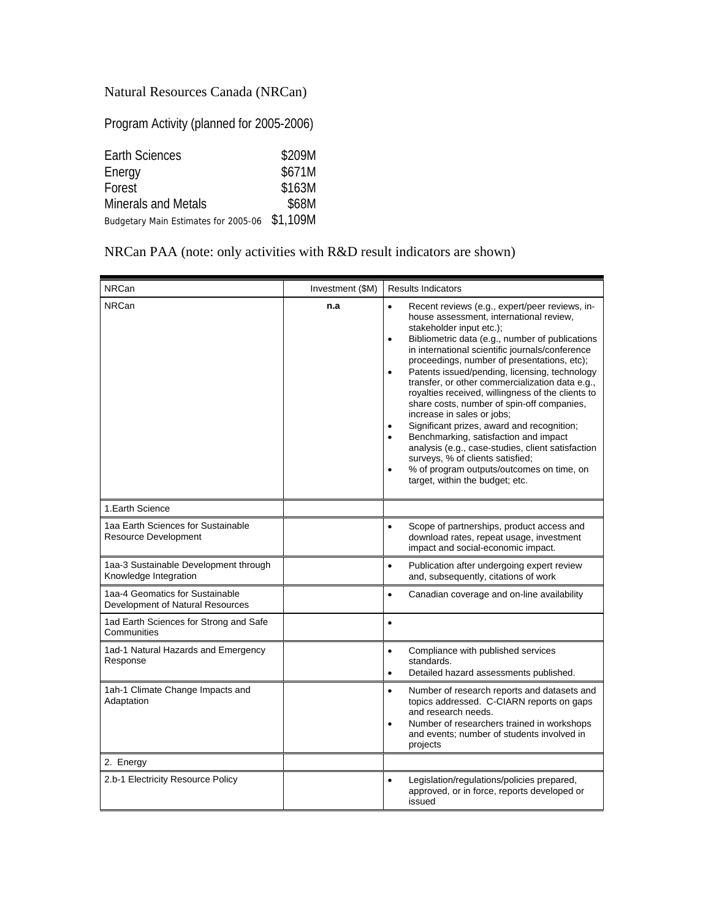## Natural Resources Canada (NRCan)

Program Activity (planned for 2005-2006)

| Earth Sciences                                | \$209M |
|-----------------------------------------------|--------|
| Energy                                        | \$671M |
| Forest                                        | \$163M |
| <b>Minerals and Metals</b>                    | \$68M  |
| Budgetary Main Estimates for 2005-06 \$1,109M |        |

## NRCan PAA (note: only activities with R&D result indicators are shown)

| <b>NRCan</b>                                                        | Investment (\$M) | <b>Results Indicators</b>                                                                                                                                                                                                                                                                                                                                                                                                                                                                                                                                                                                                                                                                                                                                                                                                                        |
|---------------------------------------------------------------------|------------------|--------------------------------------------------------------------------------------------------------------------------------------------------------------------------------------------------------------------------------------------------------------------------------------------------------------------------------------------------------------------------------------------------------------------------------------------------------------------------------------------------------------------------------------------------------------------------------------------------------------------------------------------------------------------------------------------------------------------------------------------------------------------------------------------------------------------------------------------------|
| <b>NRCan</b>                                                        | n.a              | Recent reviews (e.g., expert/peer reviews, in-<br>$\bullet$<br>house assessment, international review,<br>stakeholder input etc.);<br>Bibliometric data (e.g., number of publications<br>$\bullet$<br>in international scientific journals/conference<br>proceedings, number of presentations, etc);<br>Patents issued/pending, licensing, technology<br>$\bullet$<br>transfer, or other commercialization data e.g.,<br>royalties received, willingness of the clients to<br>share costs, number of spin-off companies,<br>increase in sales or jobs;<br>Significant prizes, award and recognition;<br>$\bullet$<br>Benchmarking, satisfaction and impact<br>$\bullet$<br>analysis (e.g., case-studies, client satisfaction<br>surveys, % of clients satisfied;<br>% of program outputs/outcomes on time, on<br>target, within the budget; etc. |
| 1. Earth Science                                                    |                  |                                                                                                                                                                                                                                                                                                                                                                                                                                                                                                                                                                                                                                                                                                                                                                                                                                                  |
| 1aa Earth Sciences for Sustainable<br>Resource Development          |                  | Scope of partnerships, product access and<br>$\bullet$<br>download rates, repeat usage, investment<br>impact and social-economic impact.                                                                                                                                                                                                                                                                                                                                                                                                                                                                                                                                                                                                                                                                                                         |
| 1aa-3 Sustainable Development through<br>Knowledge Integration      |                  | Publication after undergoing expert review<br>$\bullet$<br>and, subsequently, citations of work                                                                                                                                                                                                                                                                                                                                                                                                                                                                                                                                                                                                                                                                                                                                                  |
| 1aa-4 Geomatics for Sustainable<br>Development of Natural Resources |                  | Canadian coverage and on-line availability<br>$\bullet$                                                                                                                                                                                                                                                                                                                                                                                                                                                                                                                                                                                                                                                                                                                                                                                          |
| 1ad Earth Sciences for Strong and Safe<br>Communities               |                  | $\bullet$                                                                                                                                                                                                                                                                                                                                                                                                                                                                                                                                                                                                                                                                                                                                                                                                                                        |
| 1ad-1 Natural Hazards and Emergency<br>Response                     |                  | Compliance with published services<br>$\bullet$<br>standards.<br>Detailed hazard assessments published.<br>$\bullet$                                                                                                                                                                                                                                                                                                                                                                                                                                                                                                                                                                                                                                                                                                                             |
| 1ah-1 Climate Change Impacts and<br>Adaptation                      |                  | Number of research reports and datasets and<br>$\bullet$<br>topics addressed. C-CIARN reports on gaps<br>and research needs.<br>Number of researchers trained in workshops<br>$\bullet$<br>and events; number of students involved in<br>projects                                                                                                                                                                                                                                                                                                                                                                                                                                                                                                                                                                                                |
| 2. Energy                                                           |                  |                                                                                                                                                                                                                                                                                                                                                                                                                                                                                                                                                                                                                                                                                                                                                                                                                                                  |
| 2.b-1 Electricity Resource Policy                                   |                  | Legislation/regulations/policies prepared,<br>$\bullet$<br>approved, or in force, reports developed or<br>issued                                                                                                                                                                                                                                                                                                                                                                                                                                                                                                                                                                                                                                                                                                                                 |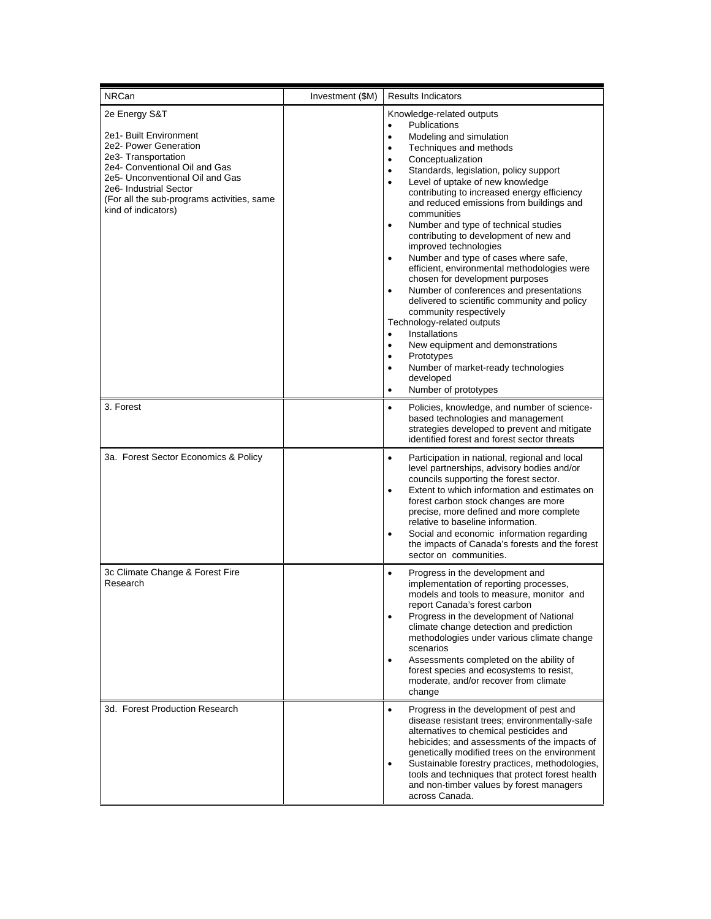| <b>NRCan</b>                                                                                                                                                                                                                                               | Investment (\$M) | <b>Results Indicators</b>                                                                                                                                                                                                                                                                                                                                                                                                                                                                                                                                                                                                                                                                                                                                                                                                                                                                                                                                                                                          |
|------------------------------------------------------------------------------------------------------------------------------------------------------------------------------------------------------------------------------------------------------------|------------------|--------------------------------------------------------------------------------------------------------------------------------------------------------------------------------------------------------------------------------------------------------------------------------------------------------------------------------------------------------------------------------------------------------------------------------------------------------------------------------------------------------------------------------------------------------------------------------------------------------------------------------------------------------------------------------------------------------------------------------------------------------------------------------------------------------------------------------------------------------------------------------------------------------------------------------------------------------------------------------------------------------------------|
| 2e Energy S&T<br>2e1- Built Environment<br>2e2- Power Generation<br>2e3- Transportation<br>2e4- Conventional Oil and Gas<br>2e5- Unconventional Oil and Gas<br>2e6- Industrial Sector<br>(For all the sub-programs activities, same<br>kind of indicators) |                  | Knowledge-related outputs<br><b>Publications</b><br>$\bullet$<br>Modeling and simulation<br>$\bullet$<br>Techniques and methods<br>$\bullet$<br>Conceptualization<br>٠<br>Standards, legislation, policy support<br>$\bullet$<br>Level of uptake of new knowledge<br>$\bullet$<br>contributing to increased energy efficiency<br>and reduced emissions from buildings and<br>communities<br>Number and type of technical studies<br>$\bullet$<br>contributing to development of new and<br>improved technologies<br>Number and type of cases where safe,<br>efficient, environmental methodologies were<br>chosen for development purposes<br>Number of conferences and presentations<br>$\bullet$<br>delivered to scientific community and policy<br>community respectively<br>Technology-related outputs<br>Installations<br>$\bullet$<br>New equipment and demonstrations<br>$\bullet$<br>Prototypes<br>٠<br>Number of market-ready technologies<br>$\bullet$<br>developed<br>Number of prototypes<br>$\bullet$ |
| 3. Forest                                                                                                                                                                                                                                                  |                  | Policies, knowledge, and number of science-<br>٠<br>based technologies and management<br>strategies developed to prevent and mitigate<br>identified forest and forest sector threats                                                                                                                                                                                                                                                                                                                                                                                                                                                                                                                                                                                                                                                                                                                                                                                                                               |
| 3a. Forest Sector Economics & Policy                                                                                                                                                                                                                       |                  | Participation in national, regional and local<br>$\bullet$<br>level partnerships, advisory bodies and/or<br>councils supporting the forest sector.<br>Extent to which information and estimates on<br>$\bullet$<br>forest carbon stock changes are more<br>precise, more defined and more complete<br>relative to baseline information.<br>Social and economic information regarding<br>$\bullet$<br>the impacts of Canada's forests and the forest<br>sector on communities.                                                                                                                                                                                                                                                                                                                                                                                                                                                                                                                                      |
| 3c Climate Change & Forest Fire<br>Research                                                                                                                                                                                                                |                  | Progress in the development and<br>$\bullet$<br>implementation of reporting processes,<br>models and tools to measure, monitor and<br>report Canada's forest carbon<br>Progress in the development of National<br>٠<br>climate change detection and prediction<br>methodologies under various climate change<br>scenarios<br>Assessments completed on the ability of<br>$\bullet$<br>forest species and ecosystems to resist,<br>moderate, and/or recover from climate<br>change                                                                                                                                                                                                                                                                                                                                                                                                                                                                                                                                   |
| 3d. Forest Production Research                                                                                                                                                                                                                             |                  | Progress in the development of pest and<br>$\bullet$<br>disease resistant trees; environmentally-safe<br>alternatives to chemical pesticides and<br>hebicides; and assessments of the impacts of<br>genetically modified trees on the environment<br>Sustainable forestry practices, methodologies,<br>$\bullet$<br>tools and techniques that protect forest health<br>and non-timber values by forest managers<br>across Canada.                                                                                                                                                                                                                                                                                                                                                                                                                                                                                                                                                                                  |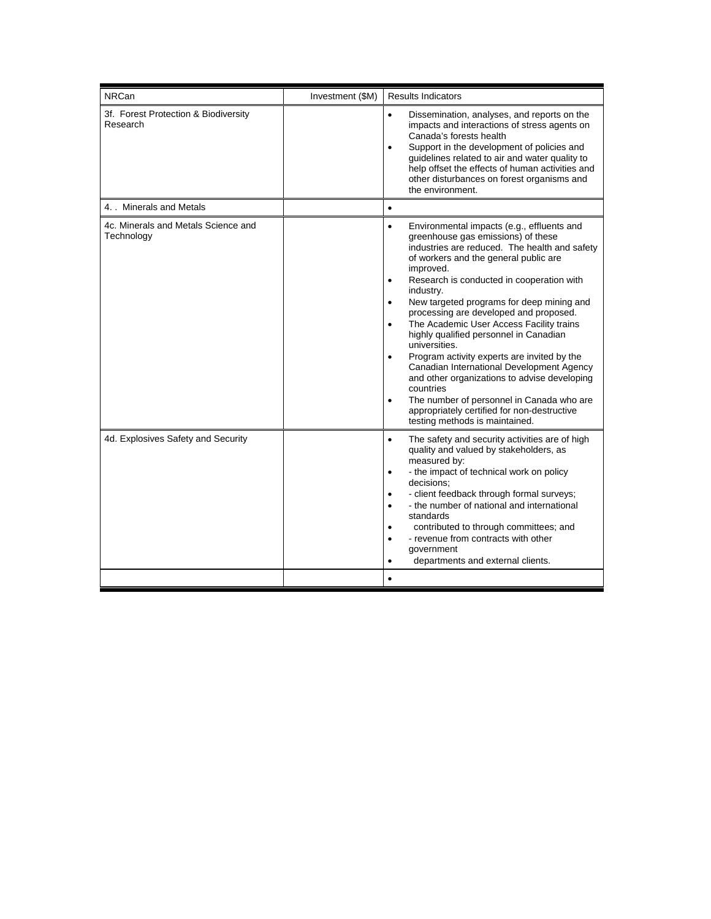| <b>NRCan</b>                                      | Investment (\$M) | <b>Results Indicators</b>                                                                                                                                                                                                                                                                                                                                                                                                                                                                                                                                                                                                                                                                                                                                                                                    |
|---------------------------------------------------|------------------|--------------------------------------------------------------------------------------------------------------------------------------------------------------------------------------------------------------------------------------------------------------------------------------------------------------------------------------------------------------------------------------------------------------------------------------------------------------------------------------------------------------------------------------------------------------------------------------------------------------------------------------------------------------------------------------------------------------------------------------------------------------------------------------------------------------|
| 3f. Forest Protection & Biodiversity<br>Research  |                  | Dissemination, analyses, and reports on the<br>$\bullet$<br>impacts and interactions of stress agents on<br>Canada's forests health<br>Support in the development of policies and<br>$\bullet$<br>guidelines related to air and water quality to<br>help offset the effects of human activities and<br>other disturbances on forest organisms and<br>the environment.                                                                                                                                                                                                                                                                                                                                                                                                                                        |
| 4. Minerals and Metals                            |                  | $\bullet$                                                                                                                                                                                                                                                                                                                                                                                                                                                                                                                                                                                                                                                                                                                                                                                                    |
| 4c. Minerals and Metals Science and<br>Technology |                  | Environmental impacts (e.g., effluents and<br>$\bullet$<br>greenhouse gas emissions) of these<br>industries are reduced. The health and safety<br>of workers and the general public are<br>improved.<br>Research is conducted in cooperation with<br>$\bullet$<br>industry.<br>New targeted programs for deep mining and<br>$\bullet$<br>processing are developed and proposed.<br>The Academic User Access Facility trains<br>٠<br>highly qualified personnel in Canadian<br>universities.<br>Program activity experts are invited by the<br>$\bullet$<br>Canadian International Development Agency<br>and other organizations to advise developing<br>countries<br>The number of personnel in Canada who are<br>$\bullet$<br>appropriately certified for non-destructive<br>testing methods is maintained. |
| 4d. Explosives Safety and Security                |                  | The safety and security activities are of high<br>$\bullet$<br>quality and valued by stakeholders, as<br>measured by:<br>- the impact of technical work on policy<br>$\bullet$<br>decisions:<br>- client feedback through formal surveys;<br>$\bullet$<br>- the number of national and international<br>$\bullet$<br>standards<br>contributed to through committees; and<br>$\bullet$<br>- revenue from contracts with other<br>$\bullet$<br>government<br>departments and external clients.<br>$\bullet$                                                                                                                                                                                                                                                                                                    |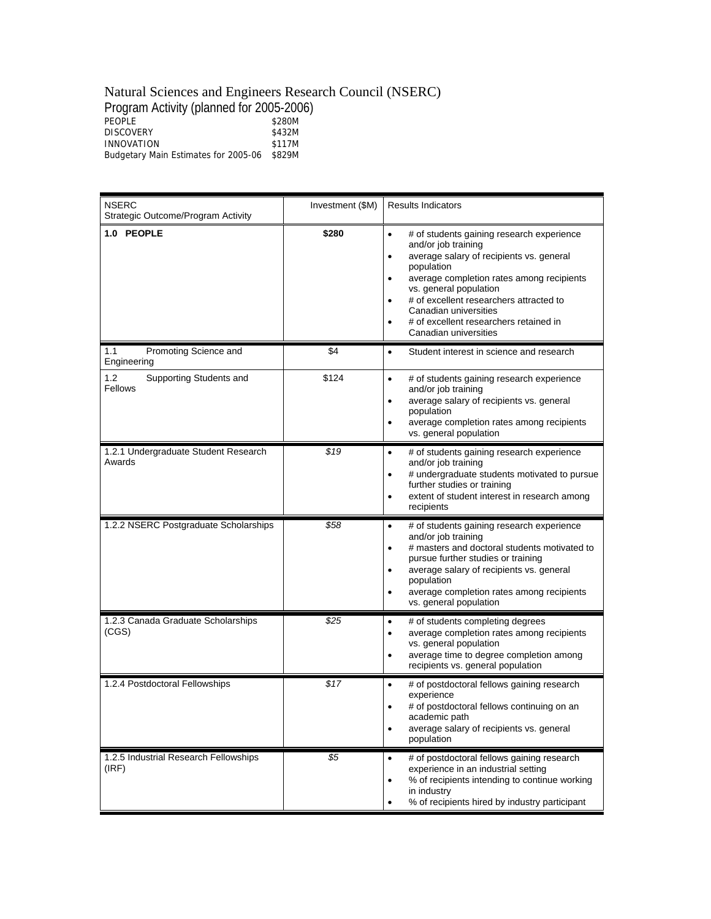#### Natural Sciences and Engineers Research Council (NSERC)

| Program Activity (planned for 2005-2006) |        |
|------------------------------------------|--------|
| PEOPLE                                   | \$280M |
| <b>DISCOVERY</b>                         | \$432M |
| <b>INNOVATION</b>                        | \$117M |
| Budgetary Main Estimates for 2005-06     | \$829M |
|                                          |        |

| <b>NSERC</b><br>Strategic Outcome/Program Activity | Investment (\$M) | <b>Results Indicators</b>                                                                                                                                                                                                                                                                                                                                                    |
|----------------------------------------------------|------------------|------------------------------------------------------------------------------------------------------------------------------------------------------------------------------------------------------------------------------------------------------------------------------------------------------------------------------------------------------------------------------|
| 1.0 PEOPLE                                         | \$280            | # of students gaining research experience<br>$\bullet$<br>and/or job training<br>average salary of recipients vs. general<br>$\bullet$<br>population<br>average completion rates among recipients<br>٠<br>vs. general population<br># of excellent researchers attracted to<br>Canadian universities<br># of excellent researchers retained in<br>٠<br>Canadian universities |
| 1.1<br>Promoting Science and<br>Engineering        | \$4              | Student interest in science and research<br>$\bullet$                                                                                                                                                                                                                                                                                                                        |
| 1.2<br>Supporting Students and<br>Fellows          | \$124            | # of students gaining research experience<br>$\bullet$<br>and/or job training<br>average salary of recipients vs. general<br>$\bullet$<br>population<br>average completion rates among recipients<br>$\bullet$<br>vs. general population                                                                                                                                     |
| 1.2.1 Undergraduate Student Research<br>Awards     | \$19             | # of students gaining research experience<br>$\bullet$<br>and/or job training<br># undergraduate students motivated to pursue<br>further studies or training<br>extent of student interest in research among<br>$\bullet$<br>recipients                                                                                                                                      |
| 1.2.2 NSERC Postgraduate Scholarships              | \$58             | # of students gaining research experience<br>$\bullet$<br>and/or job training<br># masters and doctoral students motivated to<br>$\bullet$<br>pursue further studies or training<br>average salary of recipients vs. general<br>$\bullet$<br>population<br>average completion rates among recipients<br>vs. general population                                               |
| 1.2.3 Canada Graduate Scholarships<br>(CGS)        | \$25             | # of students completing degrees<br>$\bullet$<br>average completion rates among recipients<br>٠<br>vs. general population<br>average time to degree completion among<br>recipients vs. general population                                                                                                                                                                    |
| 1.2.4 Postdoctoral Fellowships                     | \$17             | # of postdoctoral fellows gaining research<br>$\bullet$<br>experience<br># of postdoctoral fellows continuing on an<br>academic path<br>average salary of recipients vs. general<br>٠<br>population                                                                                                                                                                          |
| 1.2.5 Industrial Research Fellowships<br>(IRF)     | \$5              | # of postdoctoral fellows gaining research<br>$\bullet$<br>experience in an industrial setting<br>% of recipients intending to continue working<br>in industry<br>% of recipients hired by industry participant<br>٠                                                                                                                                                         |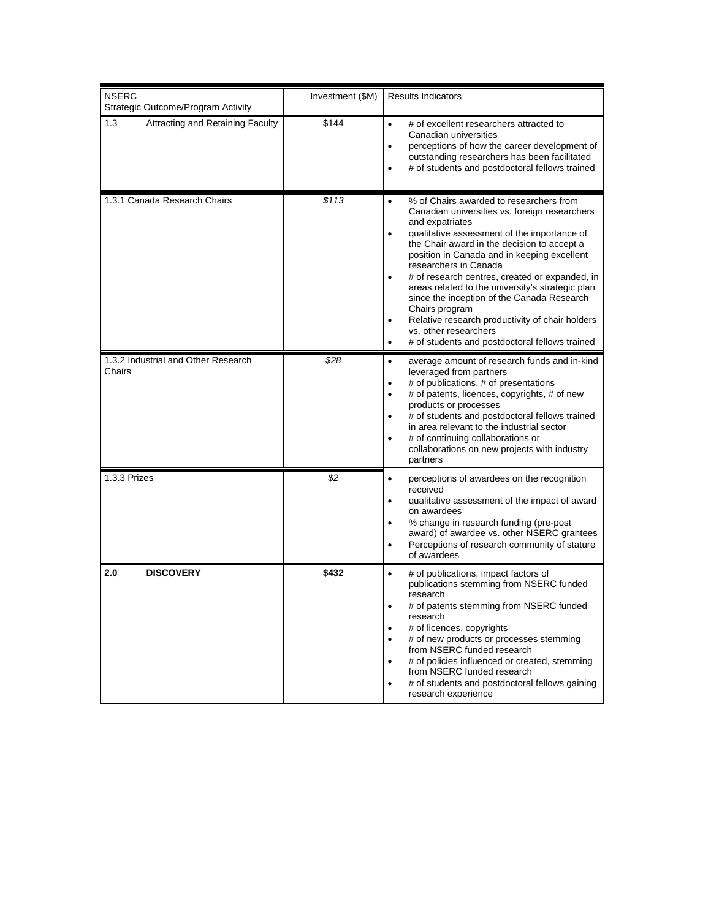| <b>NSERC</b><br>Strategic Outcome/Program Activity | Investment (\$M) | <b>Results Indicators</b>                                                                                                                                                                                                                                                                                                                                                                                                                                                                                                                                                                                                                 |
|----------------------------------------------------|------------------|-------------------------------------------------------------------------------------------------------------------------------------------------------------------------------------------------------------------------------------------------------------------------------------------------------------------------------------------------------------------------------------------------------------------------------------------------------------------------------------------------------------------------------------------------------------------------------------------------------------------------------------------|
| 1.3<br><b>Attracting and Retaining Faculty</b>     | \$144            | # of excellent researchers attracted to<br>$\bullet$<br>Canadian universities<br>perceptions of how the career development of<br>$\bullet$<br>outstanding researchers has been facilitated<br># of students and postdoctoral fellows trained<br>$\bullet$                                                                                                                                                                                                                                                                                                                                                                                 |
| 1.3.1 Canada Research Chairs                       | \$113            | % of Chairs awarded to researchers from<br>$\bullet$<br>Canadian universities vs. foreign researchers<br>and expatriates<br>qualitative assessment of the importance of<br>$\bullet$<br>the Chair award in the decision to accept a<br>position in Canada and in keeping excellent<br>researchers in Canada<br># of research centres, created or expanded, in<br>areas related to the university's strategic plan<br>since the inception of the Canada Research<br>Chairs program<br>Relative research productivity of chair holders<br>$\bullet$<br>vs. other researchers<br># of students and postdoctoral fellows trained<br>$\bullet$ |
| 1.3.2 Industrial and Other Research<br>Chairs      | \$28             | average amount of research funds and in-kind<br>$\bullet$<br>leveraged from partners<br># of publications, # of presentations<br>$\bullet$<br># of patents, licences, copyrights, # of new<br>$\bullet$<br>products or processes<br># of students and postdoctoral fellows trained<br>in area relevant to the industrial sector<br># of continuing collaborations or<br>collaborations on new projects with industry<br>partners                                                                                                                                                                                                          |
| 1.3.3 Prizes                                       | \$2              | perceptions of awardees on the recognition<br>$\bullet$<br>received<br>qualitative assessment of the impact of award<br>$\bullet$<br>on awardees<br>% change in research funding (pre-post<br>$\bullet$<br>award) of awardee vs. other NSERC grantees<br>Perceptions of research community of stature<br>$\bullet$<br>of awardees                                                                                                                                                                                                                                                                                                         |
| 2.0<br><b>DISCOVERY</b>                            | \$432            | # of publications, impact factors of<br>$\bullet$<br>publications stemming from NSERC funded<br>research<br># of patents stemming from NSERC funded<br>research<br># of licences, copyrights<br># of new products or processes stemming<br>٠<br>from NSERC funded research<br># of policies influenced or created, stemming<br>٠<br>from NSERC funded research<br># of students and postdoctoral fellows gaining<br>$\bullet$<br>research experience                                                                                                                                                                                      |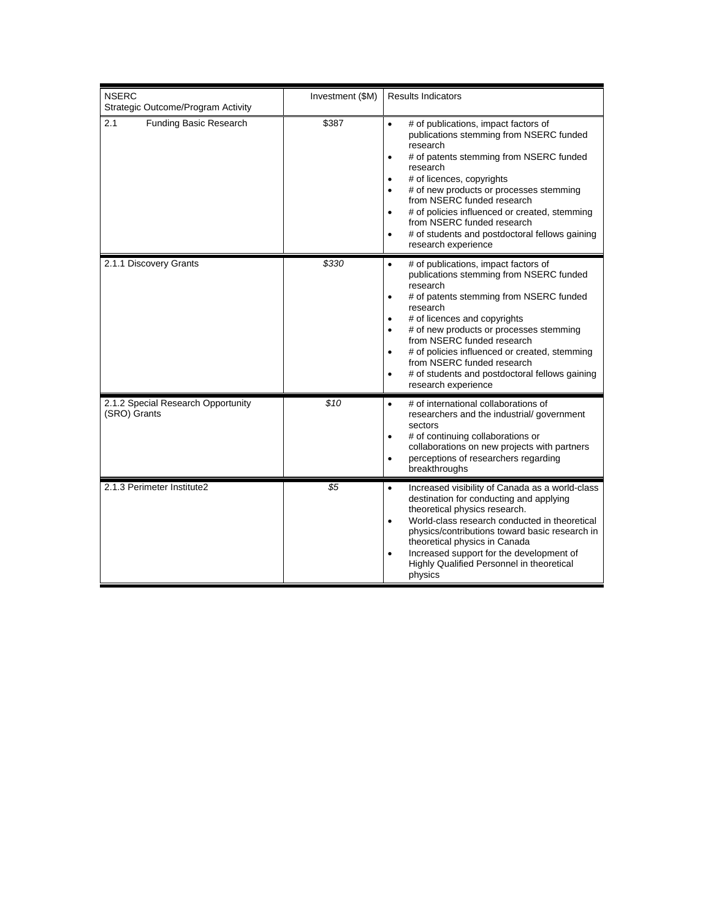| <b>NSERC</b><br>Strategic Outcome/Program Activity | Investment (\$M) | <b>Results Indicators</b>                                                                                                                                                                                                                                                                                                                                                                                                                                                         |
|----------------------------------------------------|------------------|-----------------------------------------------------------------------------------------------------------------------------------------------------------------------------------------------------------------------------------------------------------------------------------------------------------------------------------------------------------------------------------------------------------------------------------------------------------------------------------|
| 2.1<br><b>Funding Basic Research</b>               | \$387            | # of publications, impact factors of<br>$\bullet$<br>publications stemming from NSERC funded<br>research<br># of patents stemming from NSERC funded<br>$\bullet$<br>research<br># of licences, copyrights<br>$\bullet$<br># of new products or processes stemming<br>from NSERC funded research<br># of policies influenced or created, stemming<br>$\bullet$<br>from NSERC funded research<br># of students and postdoctoral fellows gaining<br>$\bullet$<br>research experience |
| 2.1.1 Discovery Grants                             | \$330            | # of publications, impact factors of<br>$\bullet$<br>publications stemming from NSERC funded<br>research<br># of patents stemming from NSERC funded<br>research<br># of licences and copyrights<br>$\bullet$<br># of new products or processes stemming<br>from NSERC funded research<br># of policies influenced or created, stemming<br>$\bullet$<br>from NSERC funded research<br># of students and postdoctoral fellows gaining<br>$\bullet$<br>research experience           |
| 2.1.2 Special Research Opportunity<br>(SRO) Grants | \$10             | # of international collaborations of<br>$\bullet$<br>researchers and the industrial/government<br>sectors<br># of continuing collaborations or<br>collaborations on new projects with partners<br>perceptions of researchers regarding<br>٠<br>breakthroughs                                                                                                                                                                                                                      |
| 2.1.3 Perimeter Institute2                         | \$5              | Increased visibility of Canada as a world-class<br>$\bullet$<br>destination for conducting and applying<br>theoretical physics research.<br>World-class research conducted in theoretical<br>$\bullet$<br>physics/contributions toward basic research in<br>theoretical physics in Canada<br>Increased support for the development of<br>$\bullet$<br>Highly Qualified Personnel in theoretical<br>physics                                                                        |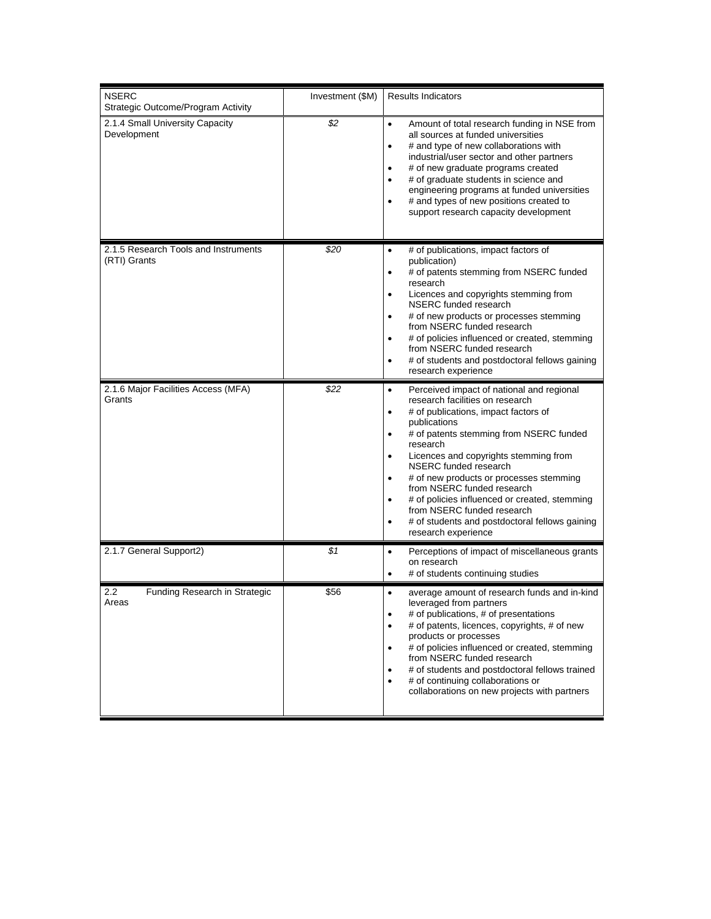| <b>NSERC</b><br>Strategic Outcome/Program Activity         | Investment (\$M) | <b>Results Indicators</b>                                                                                                                                                                                                                                                                                                                                                                                                                                                                                                                                            |
|------------------------------------------------------------|------------------|----------------------------------------------------------------------------------------------------------------------------------------------------------------------------------------------------------------------------------------------------------------------------------------------------------------------------------------------------------------------------------------------------------------------------------------------------------------------------------------------------------------------------------------------------------------------|
| 2.1.4 Small University Capacity<br>Development             | \$2              | Amount of total research funding in NSE from<br>$\bullet$<br>all sources at funded universities<br># and type of new collaborations with<br>industrial/user sector and other partners<br># of new graduate programs created<br>٠<br># of graduate students in science and<br>$\bullet$<br>engineering programs at funded universities<br># and types of new positions created to<br>support research capacity development                                                                                                                                            |
| 2.1.5 Research Tools and Instruments<br>(RTI) Grants       | \$20             | # of publications, impact factors of<br>$\bullet$<br>publication)<br># of patents stemming from NSERC funded<br>٠<br>research<br>Licences and copyrights stemming from<br>$\bullet$<br>NSERC funded research<br># of new products or processes stemming<br>$\bullet$<br>from NSERC funded research<br># of policies influenced or created, stemming<br>$\bullet$<br>from NSERC funded research<br># of students and postdoctoral fellows gaining<br>$\bullet$<br>research experience                                                                                 |
| 2.1.6 Major Facilities Access (MFA)<br>Grants              | \$22             | Perceived impact of national and regional<br>$\bullet$<br>research facilities on research<br># of publications, impact factors of<br>٠<br>publications<br># of patents stemming from NSERC funded<br>$\bullet$<br>research<br>Licences and copyrights stemming from<br>$\bullet$<br>NSERC funded research<br># of new products or processes stemming<br>$\bullet$<br>from NSERC funded research<br># of policies influenced or created, stemming<br>$\bullet$<br>from NSERC funded research<br># of students and postdoctoral fellows gaining<br>research experience |
| 2.1.7 General Support2)                                    | \$1              | Perceptions of impact of miscellaneous grants<br>$\bullet$<br>on research<br># of students continuing studies<br>$\bullet$                                                                                                                                                                                                                                                                                                                                                                                                                                           |
| $2.2\phantom{0}$<br>Funding Research in Strategic<br>Areas | \$56             | average amount of research funds and in-kind<br>$\bullet$<br>leveraged from partners<br># of publications, # of presentations<br>٠<br># of patents, licences, copyrights, # of new<br>products or processes<br># of policies influenced or created, stemming<br>$\bullet$<br>from NSERC funded research<br># of students and postdoctoral fellows trained<br># of continuing collaborations or<br>$\bullet$<br>collaborations on new projects with partners                                                                                                          |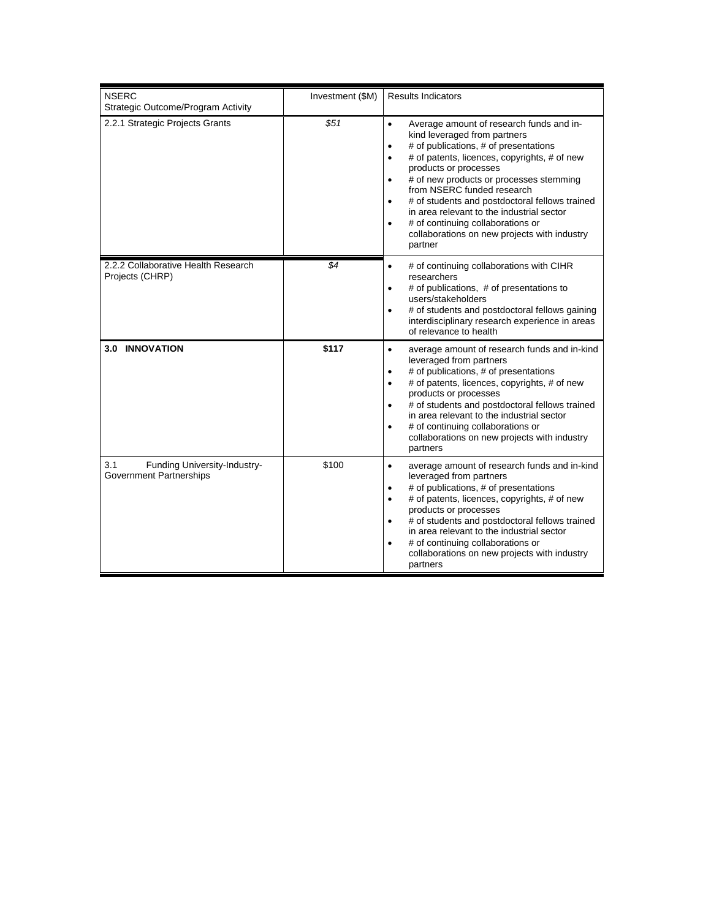| <b>NSERC</b><br>Strategic Outcome/Program Activity                    | Investment (\$M) | <b>Results Indicators</b>                                                                                                                                                                                                                                                                                                                                                                                                                                                                                                           |
|-----------------------------------------------------------------------|------------------|-------------------------------------------------------------------------------------------------------------------------------------------------------------------------------------------------------------------------------------------------------------------------------------------------------------------------------------------------------------------------------------------------------------------------------------------------------------------------------------------------------------------------------------|
| 2.2.1 Strategic Projects Grants                                       | \$51             | Average amount of research funds and in-<br>$\bullet$<br>kind leveraged from partners<br># of publications, # of presentations<br>$\bullet$<br># of patents, licences, copyrights, # of new<br>$\bullet$<br>products or processes<br># of new products or processes stemming<br>$\bullet$<br>from NSERC funded research<br># of students and postdoctoral fellows trained<br>in area relevant to the industrial sector<br># of continuing collaborations or<br>$\bullet$<br>collaborations on new projects with industry<br>partner |
| 2.2.2 Collaborative Health Research<br>Projects (CHRP)                | \$4              | # of continuing collaborations with CIHR<br>$\bullet$<br>researchers<br># of publications, # of presentations to<br>$\bullet$<br>users/stakeholders<br># of students and postdoctoral fellows gaining<br>$\bullet$<br>interdisciplinary research experience in areas<br>of relevance to health                                                                                                                                                                                                                                      |
| <b>3.0 INNOVATION</b>                                                 | \$117            | average amount of research funds and in-kind<br>$\bullet$<br>leveraged from partners<br># of publications, # of presentations<br>$\bullet$<br># of patents, licences, copyrights, # of new<br>$\bullet$<br>products or processes<br># of students and postdoctoral fellows trained<br>$\bullet$<br>in area relevant to the industrial sector<br># of continuing collaborations or<br>$\bullet$<br>collaborations on new projects with industry<br>partners                                                                          |
| 3.1<br>Funding University-Industry-<br><b>Government Partnerships</b> | \$100            | average amount of research funds and in-kind<br>$\bullet$<br>leveraged from partners<br># of publications, # of presentations<br>٠<br># of patents, licences, copyrights, # of new<br>$\bullet$<br>products or processes<br># of students and postdoctoral fellows trained<br>in area relevant to the industrial sector<br># of continuing collaborations or<br>collaborations on new projects with industry<br>partners                                                                                                            |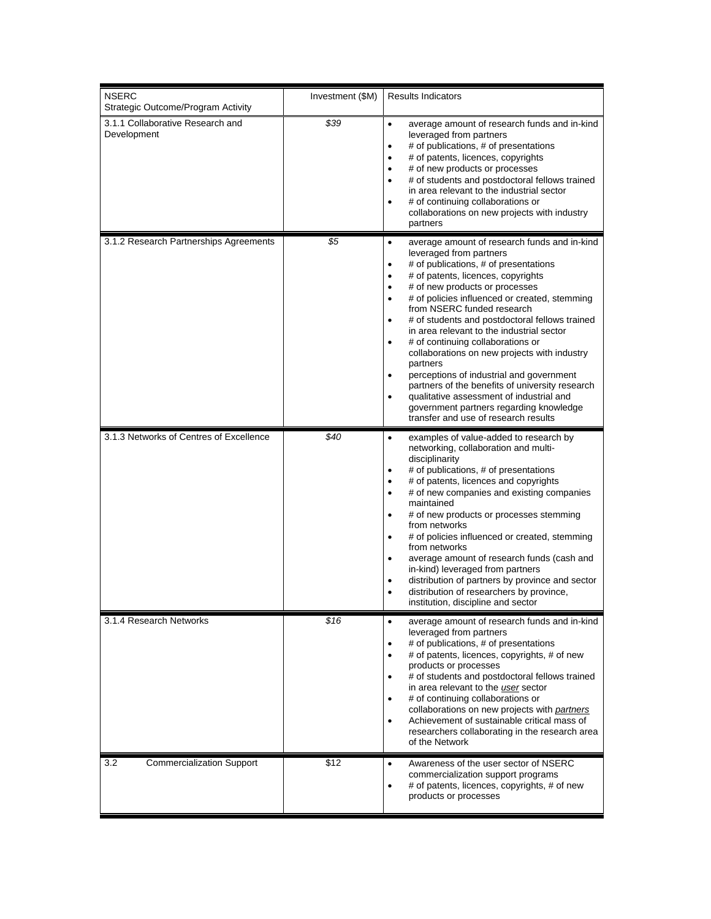| <b>NSERC</b><br>Strategic Outcome/Program Activity | Investment (\$M) | <b>Results Indicators</b>                                                                                                                                                                                                                                                                                                                                                                                                                                                                                                                                                                                                                                                                                                                                      |
|----------------------------------------------------|------------------|----------------------------------------------------------------------------------------------------------------------------------------------------------------------------------------------------------------------------------------------------------------------------------------------------------------------------------------------------------------------------------------------------------------------------------------------------------------------------------------------------------------------------------------------------------------------------------------------------------------------------------------------------------------------------------------------------------------------------------------------------------------|
| 3.1.1 Collaborative Research and<br>Development    | \$39             | average amount of research funds and in-kind<br>$\bullet$<br>leveraged from partners<br># of publications, # of presentations<br>$\bullet$<br># of patents, licences, copyrights<br>$\bullet$<br># of new products or processes<br>$\bullet$<br># of students and postdoctoral fellows trained<br>$\bullet$<br>in area relevant to the industrial sector<br># of continuing collaborations or<br>collaborations on new projects with industry<br>partners                                                                                                                                                                                                                                                                                                      |
| 3.1.2 Research Partnerships Agreements             | \$5              | $\bullet$<br>average amount of research funds and in-kind<br>leveraged from partners<br># of publications, # of presentations<br># of patents, licences, copyrights<br>$\bullet$<br># of new products or processes<br>$\bullet$<br># of policies influenced or created, stemming<br>$\bullet$<br>from NSERC funded research<br># of students and postdoctoral fellows trained<br>in area relevant to the industrial sector<br># of continuing collaborations or<br>collaborations on new projects with industry<br>partners<br>perceptions of industrial and government<br>٠<br>partners of the benefits of university research<br>qualitative assessment of industrial and<br>government partners regarding knowledge<br>transfer and use of research results |
| 3.1.3 Networks of Centres of Excellence            | \$40             | $\bullet$<br>examples of value-added to research by<br>networking, collaboration and multi-<br>disciplinarity<br># of publications, # of presentations<br>$\bullet$<br># of patents, licences and copyrights<br>٠<br># of new companies and existing companies<br>$\bullet$<br>maintained<br># of new products or processes stemming<br>from networks<br># of policies influenced or created, stemming<br>$\bullet$<br>from networks<br>average amount of research funds (cash and<br>$\bullet$<br>in-kind) leveraged from partners<br>distribution of partners by province and sector<br>$\bullet$<br>distribution of researchers by province,<br>institution, discipline and sector                                                                          |
| 3.1.4 Research Networks                            | \$16             | average amount of research funds and in-kind<br>leveraged from partners<br># of publications, # of presentations<br>٠<br># of patents, licences, copyrights, # of new<br>٠<br>products or processes<br># of students and postdoctoral fellows trained<br>in area relevant to the user sector<br># of continuing collaborations or<br>٠<br>collaborations on new projects with partners<br>Achievement of sustainable critical mass of<br>$\bullet$<br>researchers collaborating in the research area<br>of the Network                                                                                                                                                                                                                                         |
| 3.2<br><b>Commercialization Support</b>            | \$12             | Awareness of the user sector of NSERC<br>$\bullet$<br>commercialization support programs<br># of patents, licences, copyrights, # of new<br>products or processes                                                                                                                                                                                                                                                                                                                                                                                                                                                                                                                                                                                              |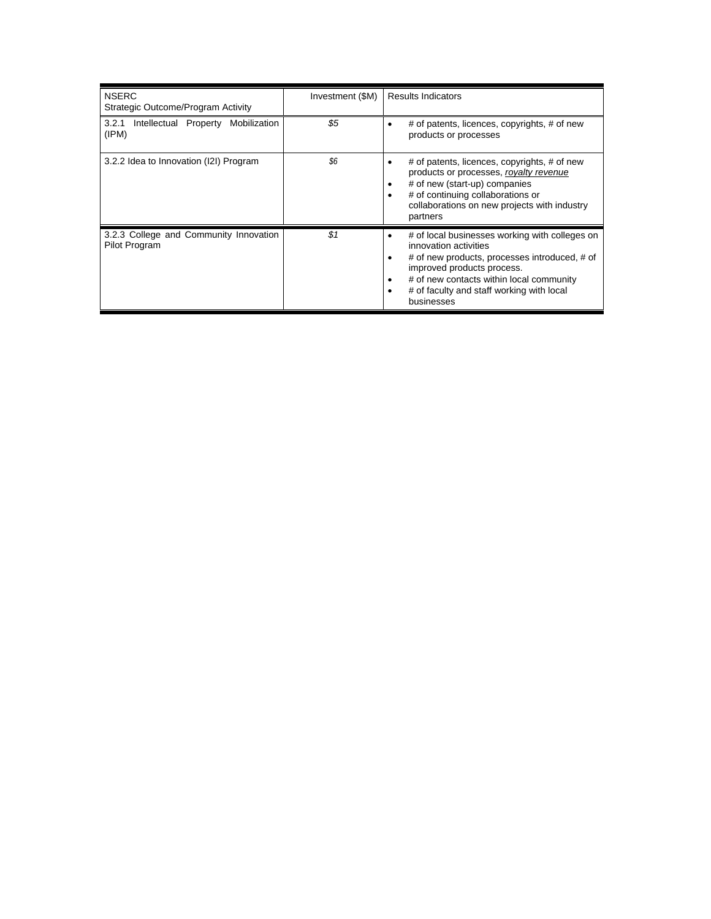| <b>NSERC</b><br>Strategic Outcome/Program Activity      | Investment (\$M) | <b>Results Indicators</b>                                                                                                                                                                                                                                               |
|---------------------------------------------------------|------------------|-------------------------------------------------------------------------------------------------------------------------------------------------------------------------------------------------------------------------------------------------------------------------|
| Intellectual Property Mobilization<br>3.2.1<br>(IPM)    | \$5              | # of patents, licences, copyrights, # of new<br>products or processes                                                                                                                                                                                                   |
| 3.2.2 Idea to Innovation (I2I) Program                  | \$6              | # of patents, licences, copyrights, # of new<br>products or processes, royalty revenue<br># of new (start-up) companies<br># of continuing collaborations or<br>collaborations on new projects with industry<br>partners                                                |
| 3.2.3 College and Community Innovation<br>Pilot Program | \$1              | # of local businesses working with colleges on<br>٠<br>innovation activities<br># of new products, processes introduced, # of<br>improved products process.<br># of new contacts within local community<br>٠<br># of faculty and staff working with local<br>businesses |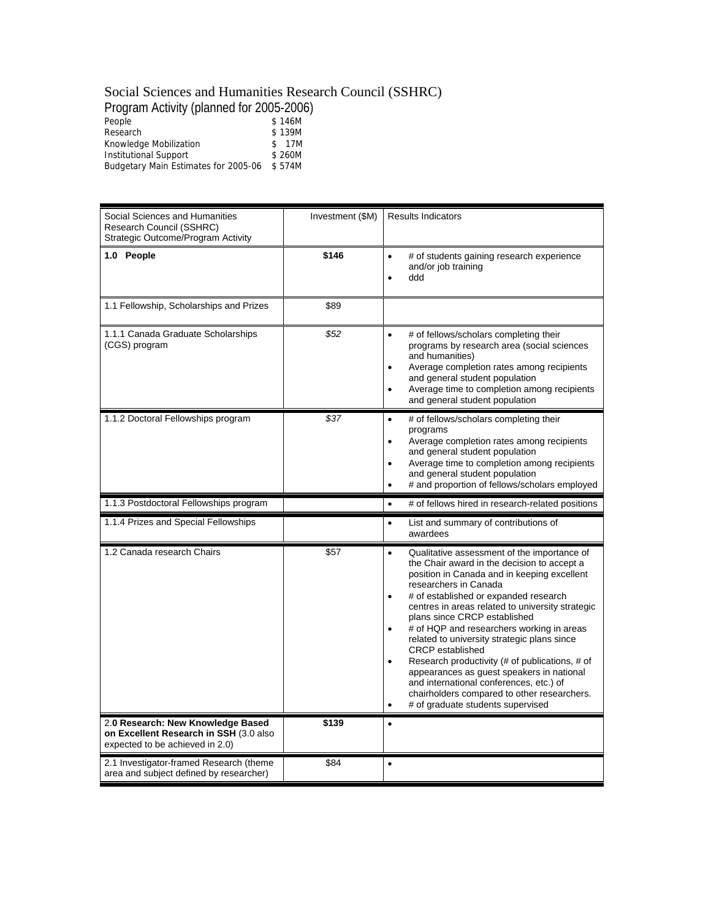### Social Sciences and Humanities Research Council (SSHRC)

Program Activity (planned for 2005-2006)

| People                               | \$146M |  |
|--------------------------------------|--------|--|
| Research                             | \$139M |  |
| Knowledge Mobilization               | \$ 17M |  |
| Institutional Support                | \$260M |  |
| Budgetary Main Estimates for 2005-06 | \$574M |  |
|                                      |        |  |

| Social Sciences and Humanities<br>Research Council (SSHRC)<br>Strategic Outcome/Program Activity               | Investment (\$M) | <b>Results Indicators</b>                                                                                                                                                                                                                                                                                                                                                                                                                                                                                                                                                                                                                                                                                |
|----------------------------------------------------------------------------------------------------------------|------------------|----------------------------------------------------------------------------------------------------------------------------------------------------------------------------------------------------------------------------------------------------------------------------------------------------------------------------------------------------------------------------------------------------------------------------------------------------------------------------------------------------------------------------------------------------------------------------------------------------------------------------------------------------------------------------------------------------------|
| 1.0 People                                                                                                     | \$146            | # of students gaining research experience<br>$\bullet$<br>and/or job training<br>ddd<br>$\bullet$                                                                                                                                                                                                                                                                                                                                                                                                                                                                                                                                                                                                        |
| 1.1 Fellowship, Scholarships and Prizes                                                                        | \$89             |                                                                                                                                                                                                                                                                                                                                                                                                                                                                                                                                                                                                                                                                                                          |
| 1.1.1 Canada Graduate Scholarships<br>(CGS) program                                                            | \$52             | $\bullet$<br># of fellows/scholars completing their<br>programs by research area (social sciences<br>and humanities)<br>Average completion rates among recipients<br>and general student population<br>Average time to completion among recipients<br>$\bullet$<br>and general student population                                                                                                                                                                                                                                                                                                                                                                                                        |
| 1.1.2 Doctoral Fellowships program                                                                             | \$37             | # of fellows/scholars completing their<br>$\bullet$<br>programs<br>Average completion rates among recipients<br>$\bullet$<br>and general student population<br>Average time to completion among recipients<br>$\bullet$<br>and general student population<br># and proportion of fellows/scholars employed<br>$\bullet$                                                                                                                                                                                                                                                                                                                                                                                  |
| 1.1.3 Postdoctoral Fellowships program                                                                         |                  | # of fellows hired in research-related positions<br>$\bullet$                                                                                                                                                                                                                                                                                                                                                                                                                                                                                                                                                                                                                                            |
| 1.1.4 Prizes and Special Fellowships                                                                           |                  | List and summary of contributions of<br>$\bullet$<br>awardees                                                                                                                                                                                                                                                                                                                                                                                                                                                                                                                                                                                                                                            |
| 1.2 Canada research Chairs                                                                                     | \$57             | Qualitative assessment of the importance of<br>$\bullet$<br>the Chair award in the decision to accept a<br>position in Canada and in keeping excellent<br>researchers in Canada<br># of established or expanded research<br>$\bullet$<br>centres in areas related to university strategic<br>plans since CRCP established<br># of HQP and researchers working in areas<br>$\bullet$<br>related to university strategic plans since<br><b>CRCP</b> established<br>Research productivity (# of publications, # of<br>appearances as guest speakers in national<br>and international conferences, etc.) of<br>chairholders compared to other researchers.<br># of graduate students supervised<br>$\bullet$ |
| 2.0 Research: New Knowledge Based<br>on Excellent Research in SSH (3.0 also<br>expected to be achieved in 2.0) | \$139            | $\bullet$                                                                                                                                                                                                                                                                                                                                                                                                                                                                                                                                                                                                                                                                                                |
|                                                                                                                |                  |                                                                                                                                                                                                                                                                                                                                                                                                                                                                                                                                                                                                                                                                                                          |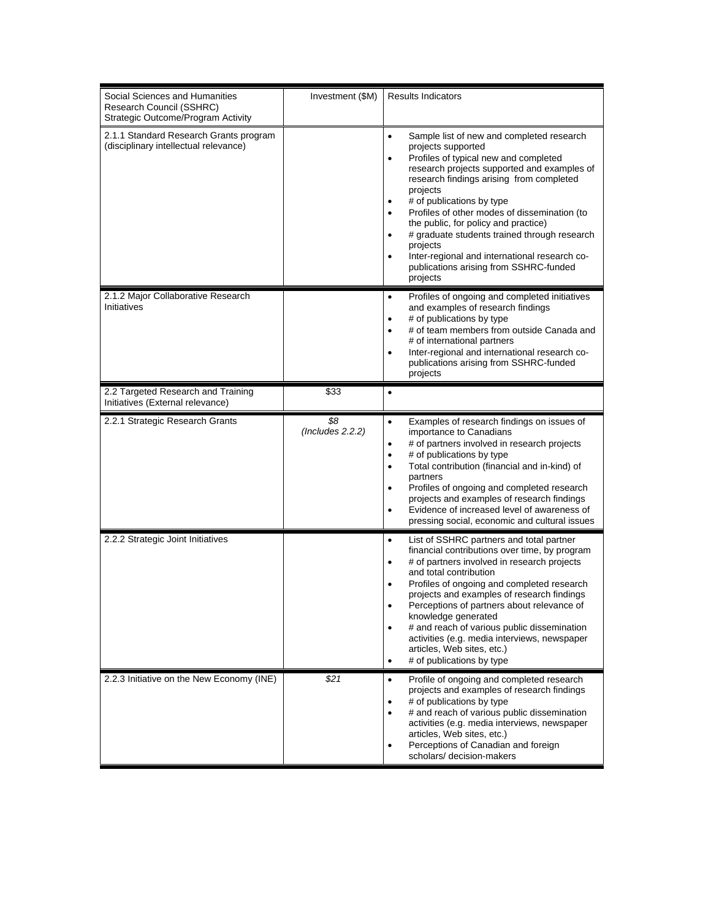| Social Sciences and Humanities<br>Research Council (SSHRC)<br>Strategic Outcome/Program Activity | Investment (\$M)        | <b>Results Indicators</b>                                                                                                                                                                                                                                                                                                                                                                                                                                                                                                                                                     |
|--------------------------------------------------------------------------------------------------|-------------------------|-------------------------------------------------------------------------------------------------------------------------------------------------------------------------------------------------------------------------------------------------------------------------------------------------------------------------------------------------------------------------------------------------------------------------------------------------------------------------------------------------------------------------------------------------------------------------------|
| 2.1.1 Standard Research Grants program<br>(disciplinary intellectual relevance)                  |                         | Sample list of new and completed research<br>$\bullet$<br>projects supported<br>Profiles of typical new and completed<br>$\bullet$<br>research projects supported and examples of<br>research findings arising from completed<br>projects<br># of publications by type<br>٠<br>Profiles of other modes of dissemination (to<br>$\bullet$<br>the public, for policy and practice)<br># graduate students trained through research<br>$\bullet$<br>projects<br>Inter-regional and international research co-<br>$\bullet$<br>publications arising from SSHRC-funded<br>projects |
| 2.1.2 Major Collaborative Research<br>Initiatives                                                |                         | Profiles of ongoing and completed initiatives<br>$\bullet$<br>and examples of research findings<br># of publications by type<br>٠<br># of team members from outside Canada and<br>$\bullet$<br># of international partners<br>Inter-regional and international research co-<br>$\bullet$<br>publications arising from SSHRC-funded<br>projects                                                                                                                                                                                                                                |
| 2.2 Targeted Research and Training<br>Initiatives (External relevance)                           | \$33                    | $\bullet$                                                                                                                                                                                                                                                                                                                                                                                                                                                                                                                                                                     |
| 2.2.1 Strategic Research Grants                                                                  | \$8<br>(Includes 2.2.2) | Examples of research findings on issues of<br>$\bullet$<br>importance to Canadians<br># of partners involved in research projects<br>$\bullet$<br># of publications by type<br>$\bullet$<br>Total contribution (financial and in-kind) of<br>٠<br>partners<br>Profiles of ongoing and completed research<br>٠<br>projects and examples of research findings<br>Evidence of increased level of awareness of<br>$\bullet$<br>pressing social, economic and cultural issues                                                                                                      |
| 2.2.2 Strategic Joint Initiatives                                                                |                         | List of SSHRC partners and total partner<br>$\bullet$<br>financial contributions over time, by program<br># of partners involved in research projects<br>$\bullet$<br>and total contribution<br>Profiles of ongoing and completed research<br>$\bullet$<br>projects and examples of research findings<br>Perceptions of partners about relevance of<br>knowledge generated<br># and reach of various public dissemination<br>$\bullet$<br>activities (e.g. media interviews, newspaper<br>articles, Web sites, etc.)<br># of publications by type<br>$\bullet$                |
| 2.2.3 Initiative on the New Economy (INE)                                                        | \$21                    | Profile of ongoing and completed research<br>$\bullet$<br>projects and examples of research findings<br># of publications by type<br>$\bullet$<br># and reach of various public dissemination<br>$\bullet$<br>activities (e.g. media interviews, newspaper<br>articles, Web sites, etc.)<br>Perceptions of Canadian and foreign<br>٠<br>scholars/ decision-makers                                                                                                                                                                                                             |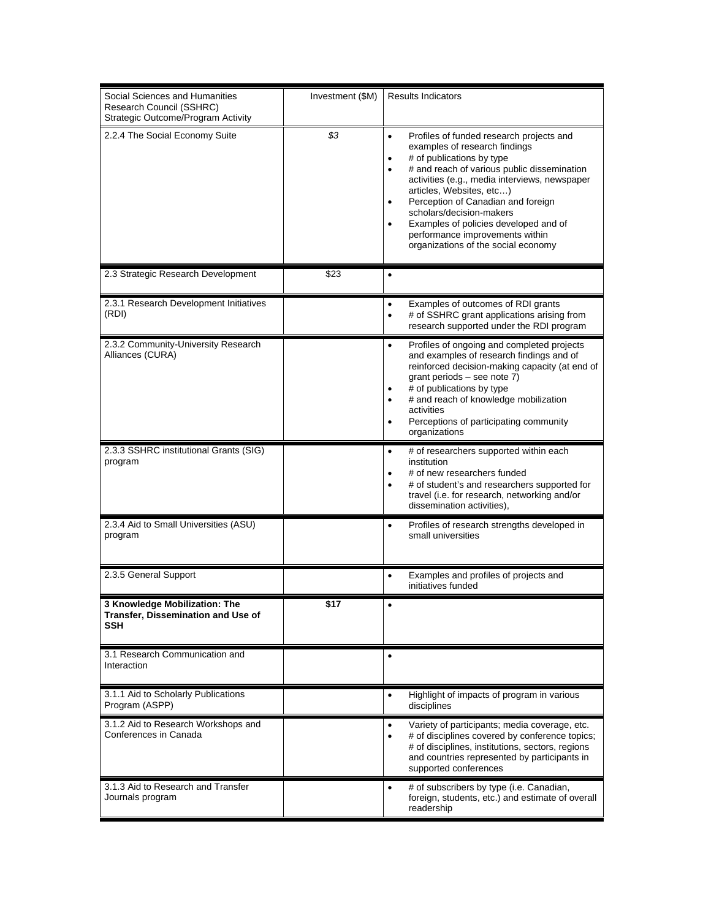| Social Sciences and Humanities<br>Research Council (SSHRC)<br>Strategic Outcome/Program Activity | Investment (\$M) | <b>Results Indicators</b>                                                                                                                                                                                                                                                                                                                                                                                                                           |
|--------------------------------------------------------------------------------------------------|------------------|-----------------------------------------------------------------------------------------------------------------------------------------------------------------------------------------------------------------------------------------------------------------------------------------------------------------------------------------------------------------------------------------------------------------------------------------------------|
| 2.2.4 The Social Economy Suite                                                                   | \$3              | Profiles of funded research projects and<br>٠<br>examples of research findings<br># of publications by type<br>٠<br># and reach of various public dissemination<br>$\bullet$<br>activities (e.g., media interviews, newspaper<br>articles, Websites, etc)<br>Perception of Canadian and foreign<br>٠<br>scholars/decision-makers<br>Examples of policies developed and of<br>performance improvements within<br>organizations of the social economy |
| 2.3 Strategic Research Development                                                               | \$23             | $\bullet$                                                                                                                                                                                                                                                                                                                                                                                                                                           |
| 2.3.1 Research Development Initiatives<br>(RDI)                                                  |                  | Examples of outcomes of RDI grants<br>٠<br># of SSHRC grant applications arising from<br>$\bullet$<br>research supported under the RDI program                                                                                                                                                                                                                                                                                                      |
| 2.3.2 Community-University Research<br>Alliances (CURA)                                          |                  | Profiles of ongoing and completed projects<br>$\bullet$<br>and examples of research findings and of<br>reinforced decision-making capacity (at end of<br>grant periods - see note 7)<br># of publications by type<br>٠<br># and reach of knowledge mobilization<br>٠<br>activities<br>Perceptions of participating community<br>٠<br>organizations                                                                                                  |
| 2.3.3 SSHRC institutional Grants (SIG)<br>program                                                |                  | # of researchers supported within each<br>$\bullet$<br>institution<br># of new researchers funded<br># of student's and researchers supported for<br>$\bullet$<br>travel (i.e. for research, networking and/or<br>dissemination activities),                                                                                                                                                                                                        |
| 2.3.4 Aid to Small Universities (ASU)<br>program                                                 |                  | Profiles of research strengths developed in<br>$\bullet$<br>small universities                                                                                                                                                                                                                                                                                                                                                                      |
| 2.3.5 General Support                                                                            |                  | Examples and profiles of projects and<br>٠<br>initiatives funded                                                                                                                                                                                                                                                                                                                                                                                    |
| 3 Knowledge Mobilization: The<br>Transfer, Dissemination and Use of<br><b>SSH</b>                | \$17             |                                                                                                                                                                                                                                                                                                                                                                                                                                                     |
| 3.1 Research Communication and<br>Interaction                                                    |                  | ٠                                                                                                                                                                                                                                                                                                                                                                                                                                                   |
| 3.1.1 Aid to Scholarly Publications<br>Program (ASPP)                                            |                  | Highlight of impacts of program in various<br>$\bullet$<br>disciplines                                                                                                                                                                                                                                                                                                                                                                              |
| 3.1.2 Aid to Research Workshops and<br>Conferences in Canada                                     |                  | Variety of participants; media coverage, etc.<br>٠<br># of disciplines covered by conference topics;<br>$\bullet$<br># of disciplines, institutions, sectors, regions<br>and countries represented by participants in<br>supported conferences                                                                                                                                                                                                      |
| 3.1.3 Aid to Research and Transfer<br>Journals program                                           |                  | # of subscribers by type (i.e. Canadian,<br>$\bullet$<br>foreign, students, etc.) and estimate of overall<br>readership                                                                                                                                                                                                                                                                                                                             |